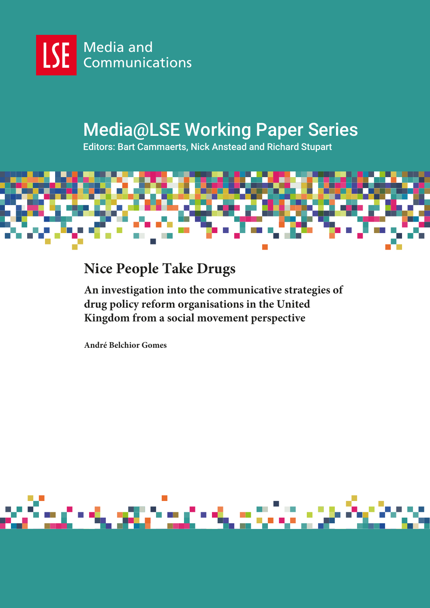

# Media@LSE Working Paper Series

Editors: Bart Cammaerts, Nick Anstead and Richard Stupart



# **Nice People Take Drugs**

**An investigation into the communicative strategies of drug policy reform organisations in the United Kingdom from a social movement perspective**

**André Belchior Gomes**

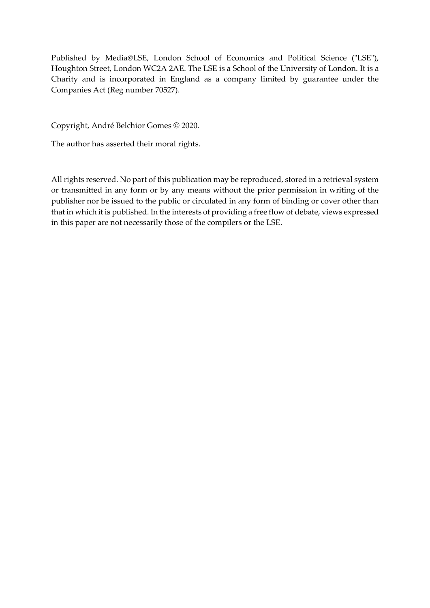Published by Media@LSE, London School of Economics and Political Science ("LSE"), Houghton Street, London WC2A 2AE. The LSE is a School of the University of London. It is a Charity and is incorporated in England as a company limited by guarantee under the Companies Act (Reg number 70527).

Copyright, André Belchior Gomes © 2020.

The author has asserted their moral rights.

All rights reserved. No part of this publication may be reproduced, stored in a retrieval system or transmitted in any form or by any means without the prior permission in writing of the publisher nor be issued to the public or circulated in any form of binding or cover other than that in which it is published. In the interests of providing a free flow of debate, views expressed in this paper are not necessarily those of the compilers or the LSE.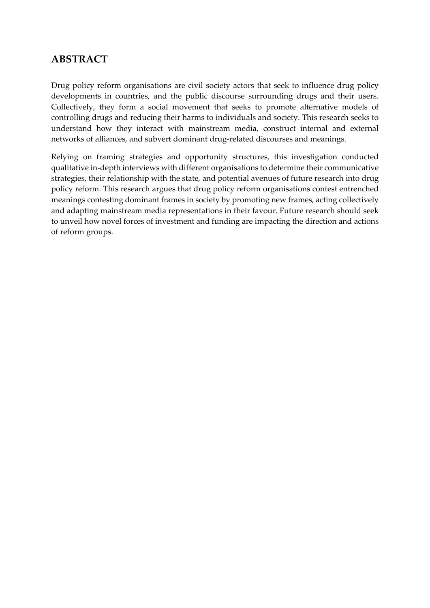### **ABSTRACT**

Drug policy reform organisations are civil society actors that seek to influence drug policy developments in countries, and the public discourse surrounding drugs and their users. Collectively, they form a social movement that seeks to promote alternative models of controlling drugs and reducing their harms to individuals and society. This research seeks to understand how they interact with mainstream media, construct internal and external networks of alliances, and subvert dominant drug-related discourses and meanings.

Relying on framing strategies and opportunity structures, this investigation conducted qualitative in-depth interviews with different organisations to determine their communicative strategies, their relationship with the state, and potential avenues of future research into drug policy reform. This research argues that drug policy reform organisations contest entrenched meanings contesting dominant frames in society by promoting new frames, acting collectively and adapting mainstream media representations in their favour. Future research should seek to unveil how novel forces of investment and funding are impacting the direction and actions of reform groups.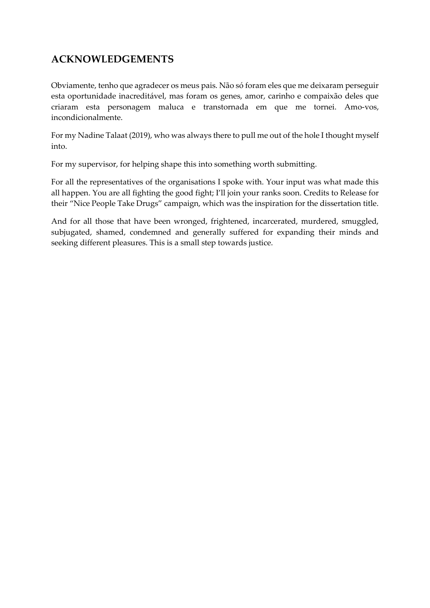# **ACKNOWLEDGEMENTS**

Obviamente, tenho que agradecer os meus pais. Não só foram eles que me deixaram perseguir esta oportunidade inacreditável, mas foram os genes, amor, carinho e compaixão deles que criaram esta personagem maluca e transtornada em que me tornei. Amo-vos, incondicionalmente.

For my Nadine Talaat (2019), who was always there to pull me out of the hole I thought myself into.

For my supervisor, for helping shape this into something worth submitting.

For all the representatives of the organisations I spoke with. Your input was what made this all happen. You are all fighting the good fight; I'll join your ranks soon. Credits to Release for their "Nice People Take Drugs" campaign, which was the inspiration for the dissertation title.

And for all those that have been wronged, frightened, incarcerated, murdered, smuggled, subjugated, shamed, condemned and generally suffered for expanding their minds and seeking different pleasures. This is a small step towards justice.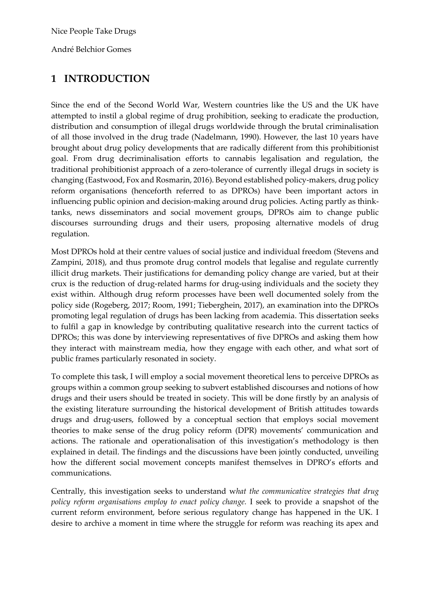André Belchior Gomes

### **1 INTRODUCTION**

Since the end of the Second World War, Western countries like the US and the UK have attempted to instil a global regime of drug prohibition, seeking to eradicate the production, distribution and consumption of illegal drugs worldwide through the brutal criminalisation of all those involved in the drug trade (Nadelmann, 1990). However, the last 10 years have brought about drug policy developments that are radically different from this prohibitionist goal. From drug decriminalisation efforts to cannabis legalisation and regulation, the traditional prohibitionist approach of a zero-tolerance of currently illegal drugs in society is changing (Eastwood, Fox and Rosmarin, 2016). Beyond established policy-makers, drug policy reform organisations (henceforth referred to as DPROs) have been important actors in influencing public opinion and decision-making around drug policies. Acting partly as thinktanks, news disseminators and social movement groups, DPROs aim to change public discourses surrounding drugs and their users, proposing alternative models of drug regulation.

Most DPROs hold at their centre values of social justice and individual freedom (Stevens and Zampini, 2018), and thus promote drug control models that legalise and regulate currently illicit drug markets. Their justifications for demanding policy change are varied, but at their crux is the reduction of drug-related harms for drug-using individuals and the society they exist within. Although drug reform processes have been well documented solely from the policy side (Rogeberg, 2017; Room, 1991; Tieberghein, 2017), an examination into the DPROs promoting legal regulation of drugs has been lacking from academia. This dissertation seeks to fulfil a gap in knowledge by contributing qualitative research into the current tactics of DPROs; this was done by interviewing representatives of five DPROs and asking them how they interact with mainstream media, how they engage with each other, and what sort of public frames particularly resonated in society.

To complete this task, I will employ a social movement theoretical lens to perceive DPROs as groups within a common group seeking to subvert established discourses and notions of how drugs and their users should be treated in society. This will be done firstly by an analysis of the existing literature surrounding the historical development of British attitudes towards drugs and drug-users, followed by a conceptual section that employs social movement theories to make sense of the drug policy reform (DPR) movements' communication and actions. The rationale and operationalisation of this investigation's methodology is then explained in detail. The findings and the discussions have been jointly conducted, unveiling how the different social movement concepts manifest themselves in DPRO's efforts and communications.

Centrally, this investigation seeks to understand w*hat the communicative strategies that drug policy reform organisations employ to enact policy change.* I seek to provide a snapshot of the current reform environment, before serious regulatory change has happened in the UK. I desire to archive a moment in time where the struggle for reform was reaching its apex and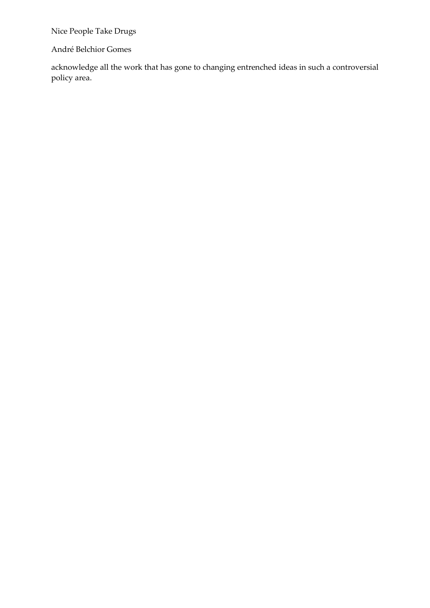André Belchior Gomes

acknowledge all the work that has gone to changing entrenched ideas in such a controversial policy area.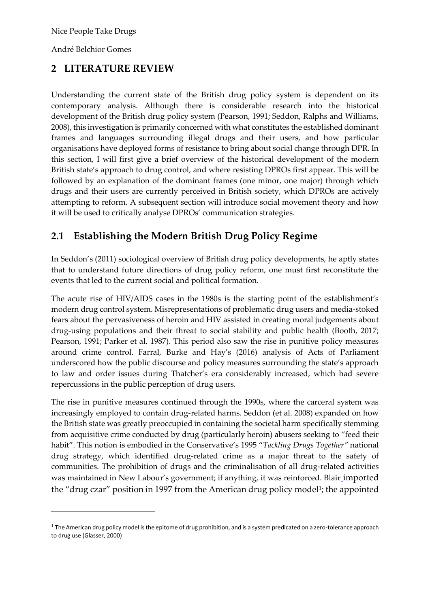André Belchior Gomes

# **2 LITERATURE REVIEW**

Understanding the current state of the British drug policy system is dependent on its contemporary analysis. Although there is considerable research into the historical development of the British drug policy system (Pearson, 1991; Seddon, Ralphs and Williams, 2008), this investigation is primarily concerned with what constitutes the established dominant frames and languages surrounding illegal drugs and their users, and how particular organisations have deployed forms of resistance to bring about social change through DPR. In this section, I will first give a brief overview of the historical development of the modern British state's approach to drug control, and where resisting DPROs first appear. This will be followed by an explanation of the dominant frames (one minor, one major) through which drugs and their users are currently perceived in British society, which DPROs are actively attempting to reform. A subsequent section will introduce social movement theory and how it will be used to critically analyse DPROs' communication strategies.

# **2.1 Establishing the Modern British Drug Policy Regime**

In Seddon's (2011) sociological overview of British drug policy developments, he aptly states that to understand future directions of drug policy reform, one must first reconstitute the events that led to the current social and political formation.

The acute rise of HIV/AIDS cases in the 1980s is the starting point of the establishment's modern drug control system. Misrepresentations of problematic drug users and media-stoked fears about the pervasiveness of heroin and HIV assisted in creating moral judgements about drug-using populations and their threat to social stability and public health (Booth, 2017; Pearson, 1991; Parker et al. 1987). This period also saw the rise in punitive policy measures around crime control. Farral, Burke and Hay's (2016) analysis of Acts of Parliament underscored how the public discourse and policy measures surrounding the state's approach to law and order issues during Thatcher's era considerably increased, which had severe repercussions in the public perception of drug users.

The rise in punitive measures continued through the 1990s, where the carceral system was increasingly employed to contain drug-related harms. Seddon (et al. 2008) expanded on how the British state was greatly preoccupied in containing the societal harm specifically stemming from acquisitive crime conducted by drug (particularly heroin) abusers seeking to "feed their habit". This notion is embodied in the Conservative's 1995 "*Tackling Drugs Together"* national drug strategy, which identified drug-related crime as a major threat to the safety of communities. The prohibition of drugs and the criminalisation of all drug-related activities was maintained in New Labour's government; if anything, it was reinforced. Blair imported the "drug czar" position in 1997 from the American drug policy model<sup>1</sup>; the appointed

 $1$  The American drug policy model is the epitome of drug prohibition, and is a system predicated on a zero-tolerance approach to drug use (Glasser, 2000)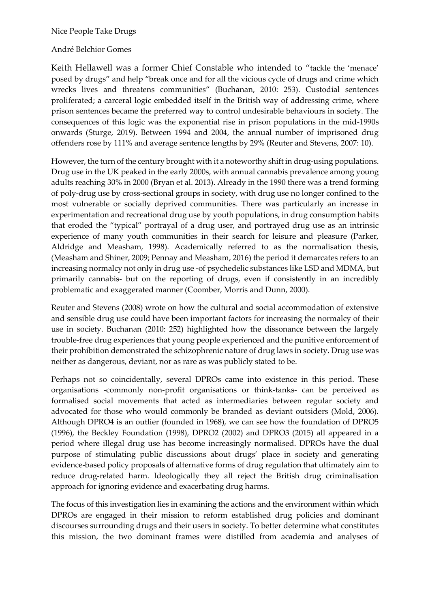#### André Belchior Gomes

Keith Hellawell was a former Chief Constable who intended to "tackle the 'menace' posed by drugs" and help "break once and for all the vicious cycle of drugs and crime which wrecks lives and threatens communities" (Buchanan, 2010: 253). Custodial sentences proliferated; a carceral logic embedded itself in the British way of addressing crime, where prison sentences became the preferred way to control undesirable behaviours in society. The consequences of this logic was the exponential rise in prison populations in the mid-1990s onwards (Sturge, 2019). Between 1994 and 2004, the annual number of imprisoned drug offenders rose by 111% and average sentence lengths by 29% (Reuter and Stevens, 2007: 10).

However, the turn of the century brought with it a noteworthy shift in drug-using populations. Drug use in the UK peaked in the early 2000s, with annual cannabis prevalence among young adults reaching 30% in 2000 (Bryan et al. 2013). Already in the 1990 there was a trend forming of poly-drug use by cross-sectional groups in society, with drug use no longer confined to the most vulnerable or socially deprived communities. There was particularly an increase in experimentation and recreational drug use by youth populations, in drug consumption habits that eroded the "typical" portrayal of a drug user, and portrayed drug use as an intrinsic experience of many youth communities in their search for leisure and pleasure (Parker, Aldridge and Measham, 1998). Academically referred to as the normalisation thesis, (Measham and Shiner, 2009; Pennay and Measham, 2016) the period it demarcates refers to an increasing normalcy not only in drug use -of psychedelic substances like LSD and MDMA, but primarily cannabis- but on the reporting of drugs, even if consistently in an incredibly problematic and exaggerated manner (Coomber, Morris and Dunn, 2000).

Reuter and Stevens (2008) wrote on how the cultural and social accommodation of extensive and sensible drug use could have been important factors for increasing the normalcy of their use in society. Buchanan (2010: 252) highlighted how the dissonance between the largely trouble-free drug experiences that young people experienced and the punitive enforcement of their prohibition demonstrated the schizophrenic nature of drug laws in society. Drug use was neither as dangerous, deviant, nor as rare as was publicly stated to be.

Perhaps not so coincidentally, several DPROs came into existence in this period. These organisations -commonly non-profit organisations or think-tanks- can be perceived as formalised social movements that acted as intermediaries between regular society and advocated for those who would commonly be branded as deviant outsiders (Mold, 2006). Although DPRO4 is an outlier (founded in 1968), we can see how the foundation of DPRO5 (1996), the Beckley Foundation (1998), DPRO2 (2002) and DPRO3 (2015) all appeared in a period where illegal drug use has become increasingly normalised. DPROs have the dual purpose of stimulating public discussions about drugs' place in society and generating evidence-based policy proposals of alternative forms of drug regulation that ultimately aim to reduce drug-related harm. Ideologically they all reject the British drug criminalisation approach for ignoring evidence and exacerbating drug harms.

The focus of this investigation lies in examining the actions and the environment within which DPROs are engaged in their mission to reform established drug policies and dominant discourses surrounding drugs and their users in society. To better determine what constitutes this mission, the two dominant frames were distilled from academia and analyses of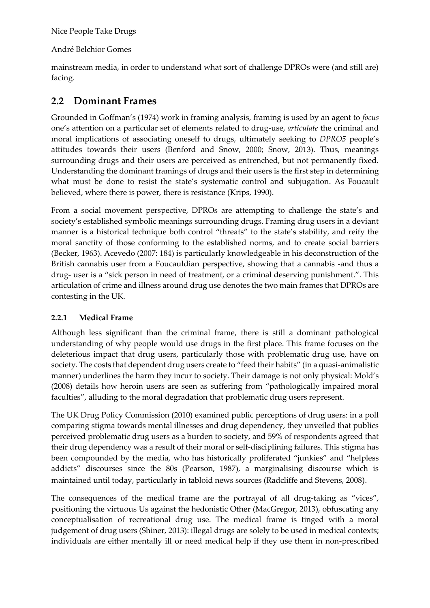André Belchior Gomes

mainstream media, in order to understand what sort of challenge DPROs were (and still are) facing.

### **2.2 Dominant Frames**

Grounded in Goffman's (1974) work in framing analysis, framing is used by an agent to *focus*  one's attention on a particular set of elements related to drug-use, *articulate* the criminal and moral implications of associating oneself to drugs, ultimately seeking to *DPRO5* people's attitudes towards their users (Benford and Snow, 2000; Snow, 2013). Thus, meanings surrounding drugs and their users are perceived as entrenched, but not permanently fixed. Understanding the dominant framings of drugs and their users is the first step in determining what must be done to resist the state's systematic control and subjugation. As Foucault believed, where there is power, there is resistance (Krips, 1990).

From a social movement perspective, DPROs are attempting to challenge the state's and society's established symbolic meanings surrounding drugs. Framing drug users in a deviant manner is a historical technique both control "threats" to the state's stability, and reify the moral sanctity of those conforming to the established norms, and to create social barriers (Becker, 1963). Acevedo (2007: 184) is particularly knowledgeable in his deconstruction of the British cannabis user from a Foucauldian perspective, showing that a cannabis -and thus a drug- user is a "sick person in need of treatment, or a criminal deserving punishment.". This articulation of crime and illness around drug use denotes the two main frames that DPROs are contesting in the UK.

#### **2.2.1 Medical Frame**

Although less significant than the criminal frame, there is still a dominant pathological understanding of why people would use drugs in the first place. This frame focuses on the deleterious impact that drug users, particularly those with problematic drug use, have on society. The costs that dependent drug users create to "feed their habits" (in a quasi-animalistic manner) underlines the harm they incur to society. Their damage is not only physical: Mold's (2008) details how heroin users are seen as suffering from "pathologically impaired moral faculties", alluding to the moral degradation that problematic drug users represent.

The UK Drug Policy Commission (2010) examined public perceptions of drug users: in a poll comparing stigma towards mental illnesses and drug dependency, they unveiled that publics perceived problematic drug users as a burden to society, and 59% of respondents agreed that their drug dependency was a result of their moral or self-disciplining failures. This stigma has been compounded by the media, who has historically proliferated "junkies" and "helpless addicts" discourses since the 80s (Pearson, 1987), a marginalising discourse which is maintained until today, particularly in tabloid news sources (Radcliffe and Stevens, 2008).

The consequences of the medical frame are the portrayal of all drug-taking as "vices", positioning the virtuous Us against the hedonistic Other (MacGregor, 2013), obfuscating any conceptualisation of recreational drug use. The medical frame is tinged with a moral judgement of drug users (Shiner, 2013): illegal drugs are solely to be used in medical contexts; individuals are either mentally ill or need medical help if they use them in non-prescribed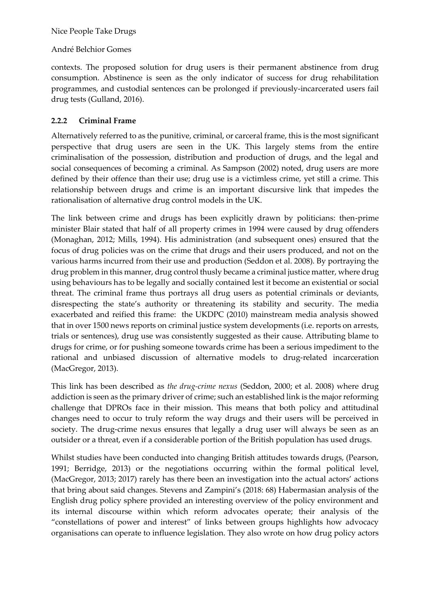#### André Belchior Gomes

contexts. The proposed solution for drug users is their permanent abstinence from drug consumption. Abstinence is seen as the only indicator of success for drug rehabilitation programmes, and custodial sentences can be prolonged if previously-incarcerated users fail drug tests (Gulland, 2016).

#### **2.2.2 Criminal Frame**

Alternatively referred to as the punitive, criminal, or carceral frame, this is the most significant perspective that drug users are seen in the UK. This largely stems from the entire criminalisation of the possession, distribution and production of drugs, and the legal and social consequences of becoming a criminal. As Sampson (2002) noted, drug users are more defined by their offence than their use; drug use is a victimless crime, yet still a crime. This relationship between drugs and crime is an important discursive link that impedes the rationalisation of alternative drug control models in the UK.

The link between crime and drugs has been explicitly drawn by politicians: then-prime minister Blair stated that half of all property crimes in 1994 were caused by drug offenders (Monaghan, 2012; Mills, 1994). His administration (and subsequent ones) ensured that the focus of drug policies was on the crime that drugs and their users produced, and not on the various harms incurred from their use and production (Seddon et al. 2008). By portraying the drug problem in this manner, drug control thusly became a criminal justice matter, where drug using behaviours has to be legally and socially contained lest it become an existential or social threat. The criminal frame thus portrays all drug users as potential criminals or deviants, disrespecting the state's authority or threatening its stability and security. The media exacerbated and reified this frame: the UKDPC (2010) mainstream media analysis showed that in over 1500 news reports on criminal justice system developments (i.e. reports on arrests, trials or sentences), drug use was consistently suggested as their cause. Attributing blame to drugs for crime, or for pushing someone towards crime has been a serious impediment to the rational and unbiased discussion of alternative models to drug-related incarceration (MacGregor, 2013).

This link has been described as *the drug-crime nexus* (Seddon, 2000; et al. 2008) where drug addiction is seen as the primary driver of crime; such an established link is the major reforming challenge that DPROs face in their mission. This means that both policy and attitudinal changes need to occur to truly reform the way drugs and their users will be perceived in society. The drug-crime nexus ensures that legally a drug user will always be seen as an outsider or a threat, even if a considerable portion of the British population has used drugs.

Whilst studies have been conducted into changing British attitudes towards drugs, (Pearson, 1991; Berridge, 2013) or the negotiations occurring within the formal political level, (MacGregor, 2013; 2017) rarely has there been an investigation into the actual actors' actions that bring about said changes. Stevens and Zampini's (2018: 68) Habermasian analysis of the English drug policy sphere provided an interesting overview of the policy environment and its internal discourse within which reform advocates operate; their analysis of the "constellations of power and interest" of links between groups highlights how advocacy organisations can operate to influence legislation. They also wrote on how drug policy actors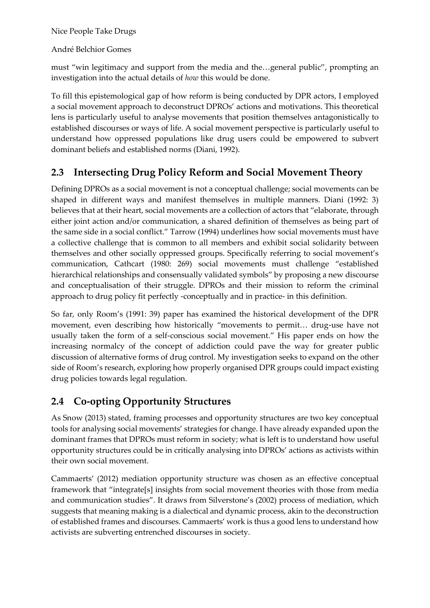André Belchior Gomes

must "win legitimacy and support from the media and the…general public", prompting an investigation into the actual details of *how* this would be done.

To fill this epistemological gap of how reform is being conducted by DPR actors, I employed a social movement approach to deconstruct DPROs' actions and motivations. This theoretical lens is particularly useful to analyse movements that position themselves antagonistically to established discourses or ways of life. A social movement perspective is particularly useful to understand how oppressed populations like drug users could be empowered to subvert dominant beliefs and established norms (Diani, 1992).

# **2.3 Intersecting Drug Policy Reform and Social Movement Theory**

Defining DPROs as a social movement is not a conceptual challenge; social movements can be shaped in different ways and manifest themselves in multiple manners. Diani (1992: 3) believes that at their heart, social movements are a collection of actors that "elaborate, through either joint action and/or communication, a shared definition of themselves as being part of the same side in a social conflict." Tarrow (1994) underlines how social movements must have a collective challenge that is common to all members and exhibit social solidarity between themselves and other socially oppressed groups. Specifically referring to social movement's communication, Cathcart (1980: 269) social movements must challenge "established hierarchical relationships and consensually validated symbols" by proposing a new discourse and conceptualisation of their struggle. DPROs and their mission to reform the criminal approach to drug policy fit perfectly -conceptually and in practice- in this definition.

So far, only Room's (1991: 39) paper has examined the historical development of the DPR movement, even describing how historically "movements to permit… drug-use have not usually taken the form of a self-conscious social movement." His paper ends on how the increasing normalcy of the concept of addiction could pave the way for greater public discussion of alternative forms of drug control. My investigation seeks to expand on the other side of Room's research, exploring how properly organised DPR groups could impact existing drug policies towards legal regulation.

# **2.4 Co-opting Opportunity Structures**

As Snow (2013) stated, framing processes and opportunity structures are two key conceptual tools for analysing social movements' strategies for change. I have already expanded upon the dominant frames that DPROs must reform in society; what is left is to understand how useful opportunity structures could be in critically analysing into DPROs' actions as activists within their own social movement.

Cammaerts' (2012) mediation opportunity structure was chosen as an effective conceptual framework that "integrate[s] insights from social movement theories with those from media and communication studies". It draws from Silverstone's (2002) process of mediation, which suggests that meaning making is a dialectical and dynamic process, akin to the deconstruction of established frames and discourses. Cammaerts' work is thus a good lens to understand how activists are subverting entrenched discourses in society.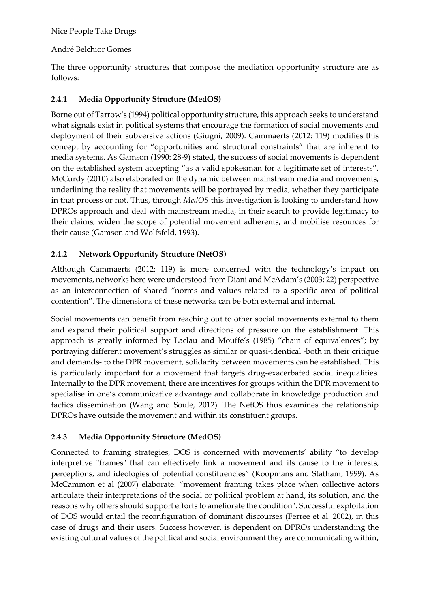#### André Belchior Gomes

The three opportunity structures that compose the mediation opportunity structure are as follows:

#### **2.4.1 Media Opportunity Structure (MedOS)**

Borne out of Tarrow's (1994) political opportunity structure, this approach seeks to understand what signals exist in political systems that encourage the formation of social movements and deployment of their subversive actions (Giugni, 2009). Cammaerts (2012: 119) modifies this concept by accounting for "opportunities and structural constraints" that are inherent to media systems. As Gamson (1990: 28-9) stated, the success of social movements is dependent on the established system accepting "as a valid spokesman for a legitimate set of interests". McCurdy (2010) also elaborated on the dynamic between mainstream media and movements, underlining the reality that movements will be portrayed by media, whether they participate in that process or not. Thus, through *MedOS* this investigation is looking to understand how DPROs approach and deal with mainstream media, in their search to provide legitimacy to their claims, widen the scope of potential movement adherents, and mobilise resources for their cause (Gamson and Wolfsfeld, 1993).

#### **2.4.2 Network Opportunity Structure (NetOS)**

Although Cammaerts (2012: 119) is more concerned with the technology's impact on movements, networks here were understood from Diani and McAdam's (2003: 22) perspective as an interconnection of shared "norms and values related to a specific area of political contention". The dimensions of these networks can be both external and internal.

Social movements can benefit from reaching out to other social movements external to them and expand their political support and directions of pressure on the establishment. This approach is greatly informed by Laclau and Mouffe's (1985) "chain of equivalences"; by portraying different movement's struggles as similar or quasi-identical -both in their critique and demands- to the DPR movement, solidarity between movements can be established. This is particularly important for a movement that targets drug-exacerbated social inequalities. Internally to the DPR movement, there are incentives for groups within the DPR movement to specialise in one's communicative advantage and collaborate in knowledge production and tactics dissemination (Wang and Soule, 2012). The NetOS thus examines the relationship DPROs have outside the movement and within its constituent groups.

#### **2.4.3 Media Opportunity Structure (MedOS)**

Connected to framing strategies, DOS is concerned with movements' ability "to develop interpretive "frames" that can effectively link a movement and its cause to the interests, perceptions, and ideologies of potential constituencies" (Koopmans and Statham, 1999). As McCammon et al (2007) elaborate: "movement framing takes place when collective actors articulate their interpretations of the social or political problem at hand, its solution, and the reasons why others should support efforts to ameliorate the condition". Successful exploitation of DOS would entail the reconfiguration of dominant discourses (Ferree et al. 2002), in this case of drugs and their users. Success however, is dependent on DPROs understanding the existing cultural values of the political and social environment they are communicating within,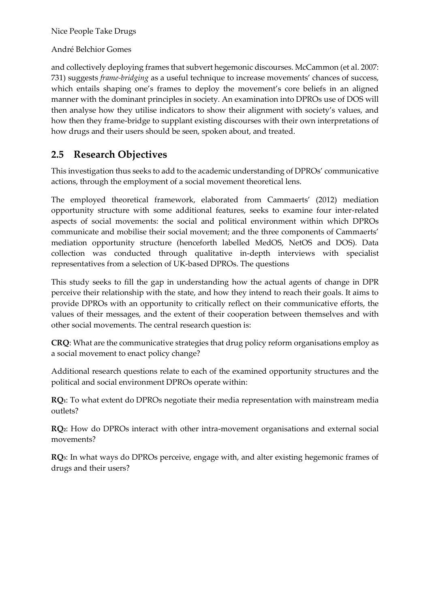André Belchior Gomes

and collectively deploying frames that subvert hegemonic discourses. McCammon (et al. 2007: 731) suggests *frame-bridging* as a useful technique to increase movements' chances of success, which entails shaping one's frames to deploy the movement's core beliefs in an aligned manner with the dominant principles in society. An examination into DPROs use of DOS will then analyse how they utilise indicators to show their alignment with society's values, and how then they frame-bridge to supplant existing discourses with their own interpretations of how drugs and their users should be seen, spoken about, and treated.

### **2.5 Research Objectives**

This investigation thus seeks to add to the academic understanding of DPROs' communicative actions, through the employment of a social movement theoretical lens.

The employed theoretical framework, elaborated from Cammaerts' (2012) mediation opportunity structure with some additional features, seeks to examine four inter-related aspects of social movements: the social and political environment within which DPROs communicate and mobilise their social movement; and the three components of Cammaerts' mediation opportunity structure (henceforth labelled MedOS, NetOS and DOS). Data collection was conducted through qualitative in-depth interviews with specialist representatives from a selection of UK-based DPROs. The questions

This study seeks to fill the gap in understanding how the actual agents of change in DPR perceive their relationship with the state, and how they intend to reach their goals. It aims to provide DPROs with an opportunity to critically reflect on their communicative efforts, the values of their messages, and the extent of their cooperation between themselves and with other social movements. The central research question is:

**CRQ**: What are the communicative strategies that drug policy reform organisations employ as a social movement to enact policy change?

Additional research questions relate to each of the examined opportunity structures and the political and social environment DPROs operate within:

**RQ1**: To what extent do DPROs negotiate their media representation with mainstream media outlets?

**RQ2**: How do DPROs interact with other intra-movement organisations and external social movements?

**RQ3**: In what ways do DPROs perceive, engage with, and alter existing hegemonic frames of drugs and their users?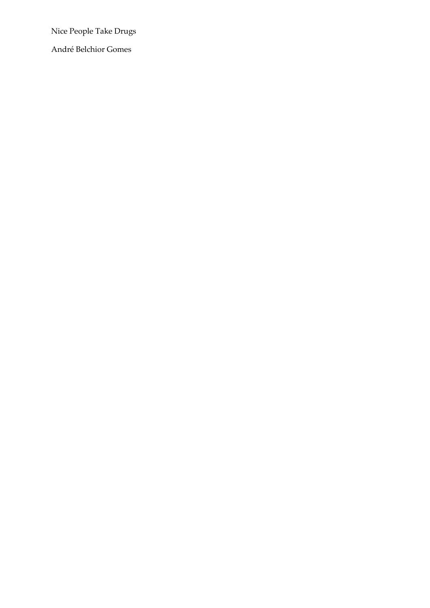André Belchior Gomes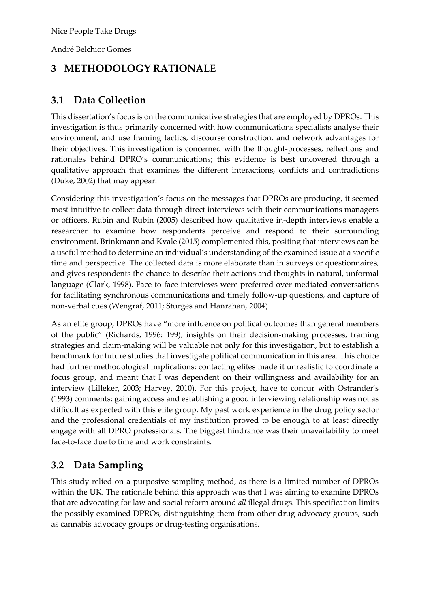André Belchior Gomes

# **3 METHODOLOGY RATIONALE**

## **3.1 Data Collection**

This dissertation's focus is on the communicative strategies that are employed by DPROs. This investigation is thus primarily concerned with how communications specialists analyse their environment, and use framing tactics, discourse construction, and network advantages for their objectives. This investigation is concerned with the thought-processes, reflections and rationales behind DPRO's communications; this evidence is best uncovered through a qualitative approach that examines the different interactions, conflicts and contradictions (Duke, 2002) that may appear.

Considering this investigation's focus on the messages that DPROs are producing, it seemed most intuitive to collect data through direct interviews with their communications managers or officers. Rubin and Rubin (2005) described how qualitative in-depth interviews enable a researcher to examine how respondents perceive and respond to their surrounding environment. Brinkmann and Kvale (2015) complemented this, positing that interviews can be a useful method to determine an individual's understanding of the examined issue at a specific time and perspective. The collected data is more elaborate than in surveys or questionnaires, and gives respondents the chance to describe their actions and thoughts in natural, unformal language (Clark, 1998). Face-to-face interviews were preferred over mediated conversations for facilitating synchronous communications and timely follow-up questions, and capture of non-verbal cues (Wengraf, 2011; Sturges and Hanrahan, 2004).

As an elite group, DPROs have "more influence on political outcomes than general members of the public" (Richards, 1996: 199); insights on their decision-making processes, framing strategies and claim-making will be valuable not only for this investigation, but to establish a benchmark for future studies that investigate political communication in this area. This choice had further methodological implications: contacting elites made it unrealistic to coordinate a focus group, and meant that I was dependent on their willingness and availability for an interview (Lilleker, 2003; Harvey, 2010). For this project, have to concur with Ostrander's (1993) comments: gaining access and establishing a good interviewing relationship was not as difficult as expected with this elite group. My past work experience in the drug policy sector and the professional credentials of my institution proved to be enough to at least directly engage with all DPRO professionals. The biggest hindrance was their unavailability to meet face-to-face due to time and work constraints.

# **3.2 Data Sampling**

This study relied on a purposive sampling method, as there is a limited number of DPROs within the UK. The rationale behind this approach was that I was aiming to examine DPROs that are advocating for law and social reform around *all* illegal drugs. This specification limits the possibly examined DPROs, distinguishing them from other drug advocacy groups, such as cannabis advocacy groups or drug-testing organisations.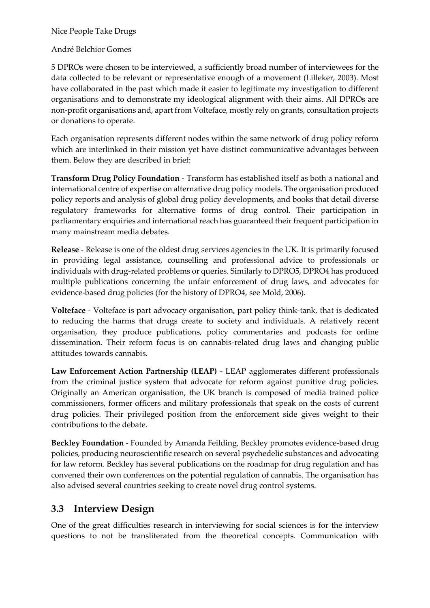André Belchior Gomes

5 DPROs were chosen to be interviewed, a sufficiently broad number of interviewees for the data collected to be relevant or representative enough of a movement (Lilleker, 2003). Most have collaborated in the past which made it easier to legitimate my investigation to different organisations and to demonstrate my ideological alignment with their aims. All DPROs are non-profit organisations and, apart from Volteface, mostly rely on grants, consultation projects or donations to operate.

Each organisation represents different nodes within the same network of drug policy reform which are interlinked in their mission yet have distinct communicative advantages between them. Below they are described in brief:

**Transform Drug Policy Foundation** - Transform has established itself as both a national and international centre of expertise on alternative drug policy models. The organisation produced policy reports and analysis of global drug policy developments, and books that detail diverse regulatory frameworks for alternative forms of drug control. Their participation in parliamentary enquiries and international reach has guaranteed their frequent participation in many mainstream media debates.

**Release** - Release is one of the oldest drug services agencies in the UK. It is primarily focused in providing legal assistance, counselling and professional advice to professionals or individuals with drug-related problems or queries. Similarly to DPRO5, DPRO4 has produced multiple publications concerning the unfair enforcement of drug laws, and advocates for evidence-based drug policies (for the history of DPRO4, see Mold, 2006).

**Volteface** - Volteface is part advocacy organisation, part policy think-tank, that is dedicated to reducing the harms that drugs create to society and individuals. A relatively recent organisation, they produce publications, policy commentaries and podcasts for online dissemination. Their reform focus is on cannabis-related drug laws and changing public attitudes towards cannabis.

**Law Enforcement Action Partnership (LEAP)** - LEAP agglomerates different professionals from the criminal justice system that advocate for reform against punitive drug policies. Originally an American organisation, the UK branch is composed of media trained police commissioners, former officers and military professionals that speak on the costs of current drug policies. Their privileged position from the enforcement side gives weight to their contributions to the debate.

**Beckley Foundation** - Founded by Amanda Feilding, Beckley promotes evidence-based drug policies, producing neuroscientific research on several psychedelic substances and advocating for law reform. Beckley has several publications on the roadmap for drug regulation and has convened their own conferences on the potential regulation of cannabis. The organisation has also advised several countries seeking to create novel drug control systems.

### **3.3 Interview Design**

One of the great difficulties research in interviewing for social sciences is for the interview questions to not be transliterated from the theoretical concepts. Communication with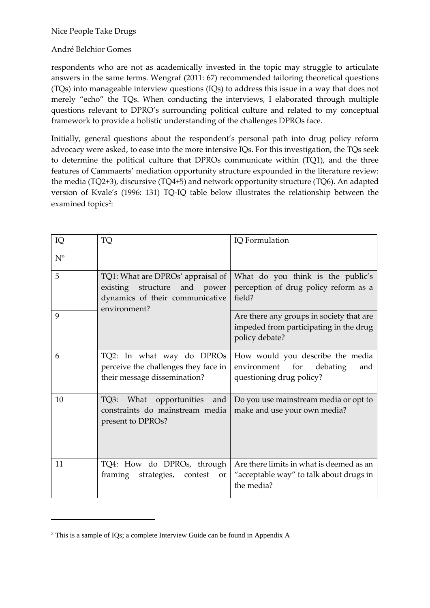#### André Belchior Gomes

respondents who are not as academically invested in the topic may struggle to articulate answers in the same terms. Wengraf (2011: 67) recommended tailoring theoretical questions (TQs) into manageable interview questions (IQs) to address this issue in a way that does not merely "echo" the TQs. When conducting the interviews, I elaborated through multiple questions relevant to DPRO's surrounding political culture and related to my conceptual framework to provide a holistic understanding of the challenges DPROs face.

Initially, general questions about the respondent's personal path into drug policy reform advocacy were asked, to ease into the more intensive IQs. For this investigation, the TQs seek to determine the political culture that DPROs communicate within (TQ1), and the three features of Cammaerts' mediation opportunity structure expounded in the literature review: the media (TQ2+3), discursive (TQ4+5) and network opportunity structure (TQ6). An adapted version of Kvale's (1996: 131) TQ-IQ table below illustrates the relationship between the examined topics<sup>2</sup>:

| IQ          | TQ                                                                                                                         | IQ Formulation                                                                                       |  |
|-------------|----------------------------------------------------------------------------------------------------------------------------|------------------------------------------------------------------------------------------------------|--|
| $N^{\circ}$ |                                                                                                                            |                                                                                                      |  |
| 5           | TQ1: What are DPROs' appraisal of<br>existing<br>structure<br>and power<br>dynamics of their communicative<br>environment? | What do you think is the public's<br>perception of drug policy reform as a<br>field?                 |  |
| 9           |                                                                                                                            | Are there any groups in society that are<br>impeded from participating in the drug<br>policy debate? |  |
| 6           | TQ2: In what way do DPROs<br>perceive the challenges they face in<br>their message dissemination?                          | How would you describe the media<br>environment for<br>debating<br>and<br>questioning drug policy?   |  |
| 10          | TQ3:<br>What opportunities<br>and<br>constraints do mainstream media<br>present to DPROs?                                  | Do you use mainstream media or opt to<br>make and use your own media?                                |  |
| 11          | TQ4: How do DPROs, through<br>framing<br>strategies,<br>contest<br><b>or</b>                                               | Are there limits in what is deemed as an<br>"acceptable way" to talk about drugs in<br>the media?    |  |

<sup>2</sup> This is a sample of IQs; a complete Interview Guide can be found in Appendix A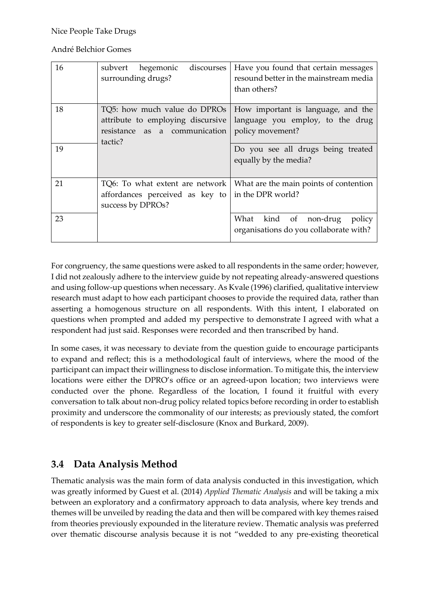André Belchior Gomes

| 16 | subvert hegemonic<br>discourses<br>surrounding drugs?                                                         | Have you found that certain messages<br>resound better in the mainstream media<br>than others? |
|----|---------------------------------------------------------------------------------------------------------------|------------------------------------------------------------------------------------------------|
| 18 | TQ5: how much value do DPROs<br>attribute to employing discursive<br>resistance as a communication<br>tactic? | How important is language, and the<br>language you employ, to the drug<br>policy movement?     |
| 19 |                                                                                                               | Do you see all drugs being treated<br>equally by the media?                                    |
| 21 | TQ6: To what extent are network<br>affordances perceived as key to<br>success by DPROs?                       | What are the main points of contention<br>in the DPR world?                                    |
| 23 |                                                                                                               | What<br>kind of non-drug<br>policy<br>organisations do you collaborate with?                   |

For congruency, the same questions were asked to all respondents in the same order; however, I did not zealously adhere to the interview guide by not repeating already-answered questions and using follow-up questions when necessary. As Kvale (1996) clarified, qualitative interview research must adapt to how each participant chooses to provide the required data, rather than asserting a homogenous structure on all respondents. With this intent, I elaborated on questions when prompted and added my perspective to demonstrate I agreed with what a respondent had just said. Responses were recorded and then transcribed by hand.

In some cases, it was necessary to deviate from the question guide to encourage participants to expand and reflect; this is a methodological fault of interviews, where the mood of the participant can impact their willingness to disclose information. To mitigate this, the interview locations were either the DPRO's office or an agreed-upon location; two interviews were conducted over the phone. Regardless of the location, I found it fruitful with every conversation to talk about non-drug policy related topics before recording in order to establish proximity and underscore the commonality of our interests; as previously stated, the comfort of respondents is key to greater self-disclosure (Knox and Burkard, 2009).

# **3.4 Data Analysis Method**

Thematic analysis was the main form of data analysis conducted in this investigation, which was greatly informed by Guest et al. (2014) *Applied Thematic Analysis* and will be taking a mix between an exploratory and a confirmatory approach to data analysis, where key trends and themes will be unveiled by reading the data and then will be compared with key themes raised from theories previously expounded in the literature review. Thematic analysis was preferred over thematic discourse analysis because it is not "wedded to any pre-existing theoretical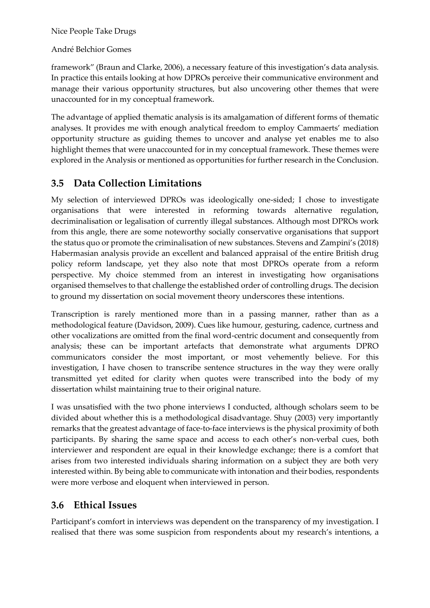#### André Belchior Gomes

framework" (Braun and Clarke, 2006), a necessary feature of this investigation's data analysis. In practice this entails looking at how DPROs perceive their communicative environment and manage their various opportunity structures, but also uncovering other themes that were unaccounted for in my conceptual framework.

The advantage of applied thematic analysis is its amalgamation of different forms of thematic analyses. It provides me with enough analytical freedom to employ Cammaerts' mediation opportunity structure as guiding themes to uncover and analyse yet enables me to also highlight themes that were unaccounted for in my conceptual framework. These themes were explored in the Analysis or mentioned as opportunities for further research in the Conclusion.

### **3.5 Data Collection Limitations**

My selection of interviewed DPROs was ideologically one-sided; I chose to investigate organisations that were interested in reforming towards alternative regulation, decriminalisation or legalisation of currently illegal substances. Although most DPROs work from this angle, there are some noteworthy socially conservative organisations that support the status quo or promote the criminalisation of new substances. Stevens and Zampini's (2018) Habermasian analysis provide an excellent and balanced appraisal of the entire British drug policy reform landscape, yet they also note that most DPROs operate from a reform perspective. My choice stemmed from an interest in investigating how organisations organised themselves to that challenge the established order of controlling drugs. The decision to ground my dissertation on social movement theory underscores these intentions.

Transcription is rarely mentioned more than in a passing manner, rather than as a methodological feature (Davidson, 2009). Cues like humour, gesturing, cadence, curtness and other vocalizations are omitted from the final word-centric document and consequently from analysis; these can be important artefacts that demonstrate what arguments DPRO communicators consider the most important, or most vehemently believe. For this investigation, I have chosen to transcribe sentence structures in the way they were orally transmitted yet edited for clarity when quotes were transcribed into the body of my dissertation whilst maintaining true to their original nature.

I was unsatisfied with the two phone interviews I conducted, although scholars seem to be divided about whether this is a methodological disadvantage. Shuy (2003) very importantly remarks that the greatest advantage of face-to-face interviews is the physical proximity of both participants. By sharing the same space and access to each other's non-verbal cues, both interviewer and respondent are equal in their knowledge exchange; there is a comfort that arises from two interested individuals sharing information on a subject they are both very interested within. By being able to communicate with intonation and their bodies, respondents were more verbose and eloquent when interviewed in person.

### **3.6 Ethical Issues**

Participant's comfort in interviews was dependent on the transparency of my investigation. I realised that there was some suspicion from respondents about my research's intentions, a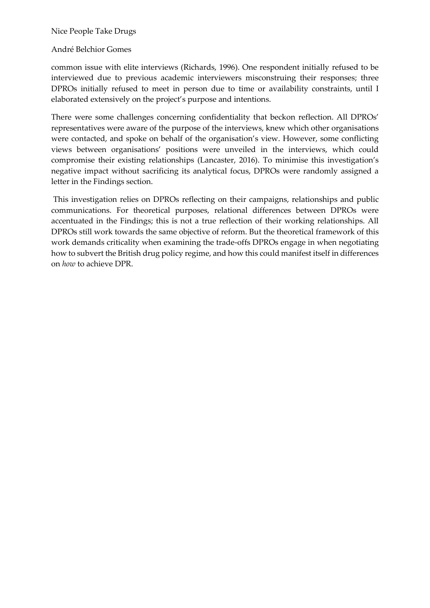#### André Belchior Gomes

common issue with elite interviews (Richards, 1996). One respondent initially refused to be interviewed due to previous academic interviewers misconstruing their responses; three DPROs initially refused to meet in person due to time or availability constraints, until I elaborated extensively on the project's purpose and intentions.

There were some challenges concerning confidentiality that beckon reflection. All DPROs' representatives were aware of the purpose of the interviews, knew which other organisations were contacted, and spoke on behalf of the organisation's view. However, some conflicting views between organisations' positions were unveiled in the interviews, which could compromise their existing relationships (Lancaster, 2016). To minimise this investigation's negative impact without sacrificing its analytical focus, DPROs were randomly assigned a letter in the Findings section.

This investigation relies on DPROs reflecting on their campaigns, relationships and public communications. For theoretical purposes, relational differences between DPROs were accentuated in the Findings; this is not a true reflection of their working relationships. All DPROs still work towards the same objective of reform. But the theoretical framework of this work demands criticality when examining the trade-offs DPROs engage in when negotiating how to subvert the British drug policy regime, and how this could manifest itself in differences on *how* to achieve DPR.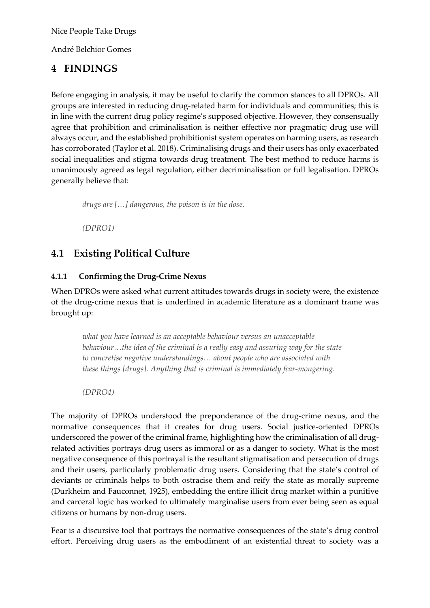André Belchior Gomes

# **4 FINDINGS**

Before engaging in analysis, it may be useful to clarify the common stances to all DPROs. All groups are interested in reducing drug-related harm for individuals and communities; this is in line with the current drug policy regime's supposed objective. However, they consensually agree that prohibition and criminalisation is neither effective nor pragmatic; drug use will always occur, and the established prohibitionist system operates on harming users, as research has corroborated (Taylor et al. 2018). Criminalising drugs and their users has only exacerbated social inequalities and stigma towards drug treatment. The best method to reduce harms is unanimously agreed as legal regulation, either decriminalisation or full legalisation. DPROs generally believe that:

*drugs are […] dangerous, the poison is in the dose.*

*(DPRO1)*

# **4.1 Existing Political Culture**

#### **4.1.1 Confirming the Drug-Crime Nexus**

When DPROs were asked what current attitudes towards drugs in society were, the existence of the drug-crime nexus that is underlined in academic literature as a dominant frame was brought up:

*what you have learned is an acceptable behaviour versus an unacceptable behaviour…the idea of the criminal is a really easy and assuring way for the state to concretise negative understandings… about people who are associated with these things [drugs]. Anything that is criminal is immediately fear-mongering.* 

*(DPRO4)*

The majority of DPROs understood the preponderance of the drug-crime nexus, and the normative consequences that it creates for drug users. Social justice-oriented DPROs underscored the power of the criminal frame, highlighting how the criminalisation of all drugrelated activities portrays drug users as immoral or as a danger to society. What is the most negative consequence of this portrayal is the resultant stigmatisation and persecution of drugs and their users, particularly problematic drug users. Considering that the state's control of deviants or criminals helps to both ostracise them and reify the state as morally supreme (Durkheim and Fauconnet, 1925), embedding the entire illicit drug market within a punitive and carceral logic has worked to ultimately marginalise users from ever being seen as equal citizens or humans by non-drug users.

Fear is a discursive tool that portrays the normative consequences of the state's drug control effort. Perceiving drug users as the embodiment of an existential threat to society was a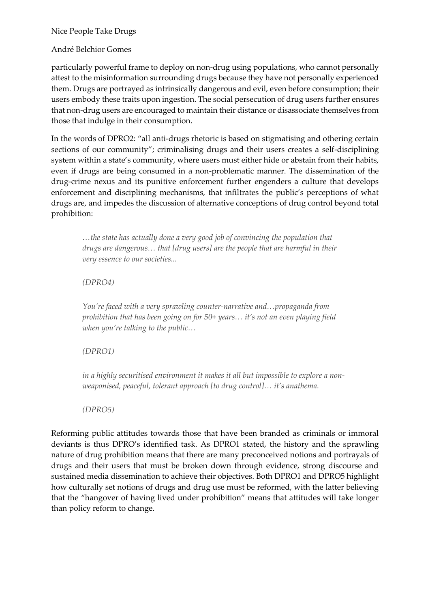#### André Belchior Gomes

particularly powerful frame to deploy on non-drug using populations, who cannot personally attest to the misinformation surrounding drugs because they have not personally experienced them. Drugs are portrayed as intrinsically dangerous and evil, even before consumption; their users embody these traits upon ingestion. The social persecution of drug users further ensures that non-drug users are encouraged to maintain their distance or disassociate themselves from those that indulge in their consumption.

In the words of DPRO2: "all anti-drugs rhetoric is based on stigmatising and othering certain sections of our community"; criminalising drugs and their users creates a self-disciplining system within a state's community, where users must either hide or abstain from their habits, even if drugs are being consumed in a non-problematic manner. The dissemination of the drug-crime nexus and its punitive enforcement further engenders a culture that develops enforcement and disciplining mechanisms, that infiltrates the public's perceptions of what drugs are, and impedes the discussion of alternative conceptions of drug control beyond total prohibition:

*…the state has actually done a very good job of convincing the population that drugs are dangerous… that [drug users] are the people that are harmful in their very essence to our societies...* 

#### *(DPRO4)*

*You're faced with a very sprawling counter-narrative and…propaganda from prohibition that has been going on for 50+ years… it's not an even playing field when you're talking to the public…* 

#### *(DPRO1)*

*in a highly securitised environment it makes it all but impossible to explore a nonweaponised, peaceful, tolerant approach [to drug control]… it's anathema.* 

#### *(DPRO5)*

Reforming public attitudes towards those that have been branded as criminals or immoral deviants is thus DPRO's identified task. As DPRO1 stated, the history and the sprawling nature of drug prohibition means that there are many preconceived notions and portrayals of drugs and their users that must be broken down through evidence, strong discourse and sustained media dissemination to achieve their objectives. Both DPRO1 and DPRO5 highlight how culturally set notions of drugs and drug use must be reformed, with the latter believing that the "hangover of having lived under prohibition" means that attitudes will take longer than policy reform to change.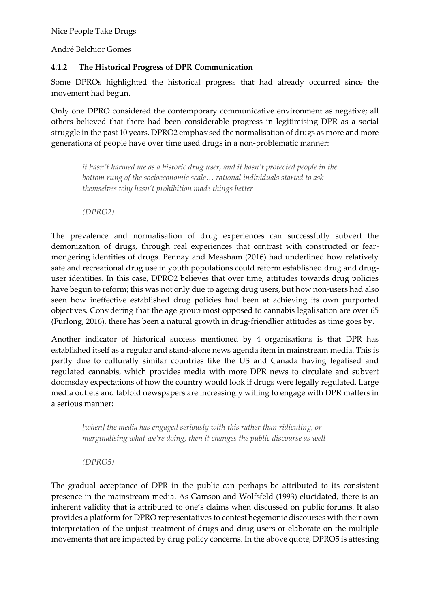André Belchior Gomes

#### **4.1.2 The Historical Progress of DPR Communication**

Some DPROs highlighted the historical progress that had already occurred since the movement had begun.

Only one DPRO considered the contemporary communicative environment as negative; all others believed that there had been considerable progress in legitimising DPR as a social struggle in the past 10 years. DPRO2 emphasised the normalisation of drugs as more and more generations of people have over time used drugs in a non-problematic manner:

*it hasn't harmed me as a historic drug user, and it hasn't protected people in the bottom rung of the socioeconomic scale… rational individuals started to ask themselves why hasn't prohibition made things better* 

*(DPRO2)*

The prevalence and normalisation of drug experiences can successfully subvert the demonization of drugs, through real experiences that contrast with constructed or fearmongering identities of drugs. Pennay and Measham (2016) had underlined how relatively safe and recreational drug use in youth populations could reform established drug and druguser identities. In this case, DPRO2 believes that over time, attitudes towards drug policies have begun to reform; this was not only due to ageing drug users, but how non-users had also seen how ineffective established drug policies had been at achieving its own purported objectives. Considering that the age group most opposed to cannabis legalisation are over 65 (Furlong, 2016), there has been a natural growth in drug-friendlier attitudes as time goes by.

Another indicator of historical success mentioned by 4 organisations is that DPR has established itself as a regular and stand-alone news agenda item in mainstream media. This is partly due to culturally similar countries like the US and Canada having legalised and regulated cannabis, which provides media with more DPR news to circulate and subvert doomsday expectations of how the country would look if drugs were legally regulated. Large media outlets and tabloid newspapers are increasingly willing to engage with DPR matters in a serious manner:

*[when] the media has engaged seriously with this rather than ridiculing, or marginalising what we're doing, then it changes the public discourse as well* 

*(DPRO5)*

The gradual acceptance of DPR in the public can perhaps be attributed to its consistent presence in the mainstream media. As Gamson and Wolfsfeld (1993) elucidated, there is an inherent validity that is attributed to one's claims when discussed on public forums. It also provides a platform for DPRO representatives to contest hegemonic discourses with their own interpretation of the unjust treatment of drugs and drug users or elaborate on the multiple movements that are impacted by drug policy concerns. In the above quote, DPRO5 is attesting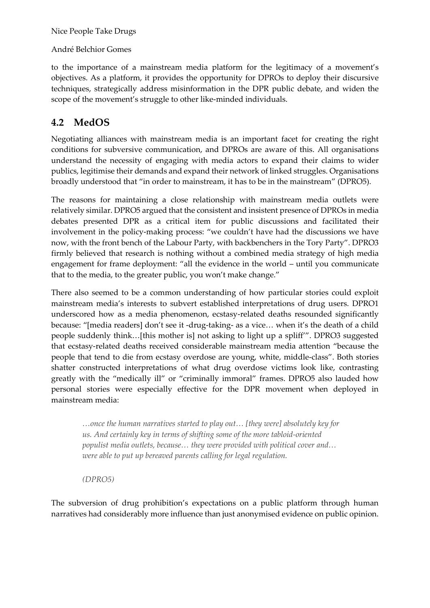André Belchior Gomes

to the importance of a mainstream media platform for the legitimacy of a movement's objectives. As a platform, it provides the opportunity for DPROs to deploy their discursive techniques, strategically address misinformation in the DPR public debate, and widen the scope of the movement's struggle to other like-minded individuals.

## **4.2 MedOS**

Negotiating alliances with mainstream media is an important facet for creating the right conditions for subversive communication, and DPROs are aware of this. All organisations understand the necessity of engaging with media actors to expand their claims to wider publics, legitimise their demands and expand their network of linked struggles. Organisations broadly understood that "in order to mainstream, it has to be in the mainstream" (DPRO5).

The reasons for maintaining a close relationship with mainstream media outlets were relatively similar. DPRO5 argued that the consistent and insistent presence of DPROs in media debates presented DPR as a critical item for public discussions and facilitated their involvement in the policy-making process: "we couldn't have had the discussions we have now, with the front bench of the Labour Party, with backbenchers in the Tory Party". DPRO3 firmly believed that research is nothing without a combined media strategy of high media engagement for frame deployment: "all the evidence in the world – until you communicate that to the media, to the greater public, you won't make change."

There also seemed to be a common understanding of how particular stories could exploit mainstream media's interests to subvert established interpretations of drug users. DPRO1 underscored how as a media phenomenon, ecstasy-related deaths resounded significantly because: "[media readers] don't see it -drug-taking- as a vice… when it's the death of a child people suddenly think…[this mother is] not asking to light up a spliff'". DPRO3 suggested that ecstasy-related deaths received considerable mainstream media attention "because the people that tend to die from ecstasy overdose are young, white, middle-class". Both stories shatter constructed interpretations of what drug overdose victims look like, contrasting greatly with the "medically ill" or "criminally immoral" frames. DPRO5 also lauded how personal stories were especially effective for the DPR movement when deployed in mainstream media:

*…once the human narratives started to play out… [they were] absolutely key for us. And certainly key in terms of shifting some of the more tabloid-oriented populist media outlets, because… they were provided with political cover and… were able to put up bereaved parents calling for legal regulation.*

*(DPRO5)*

The subversion of drug prohibition's expectations on a public platform through human narratives had considerably more influence than just anonymised evidence on public opinion.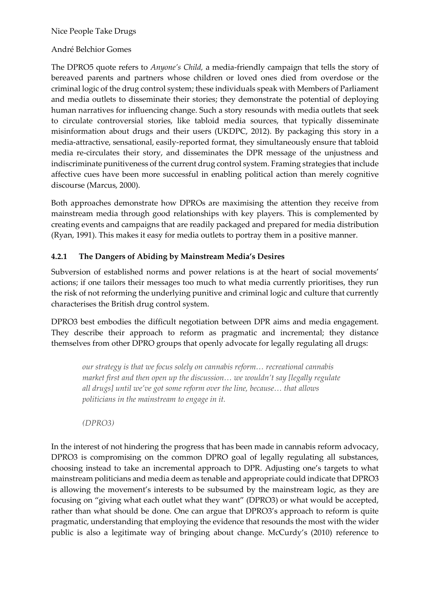#### André Belchior Gomes

The DPRO5 quote refers to *Anyone's Child,* a media-friendly campaign that tells the story of bereaved parents and partners whose children or loved ones died from overdose or the criminal logic of the drug control system; these individuals speak with Members of Parliament and media outlets to disseminate their stories; they demonstrate the potential of deploying human narratives for influencing change. Such a story resounds with media outlets that seek to circulate controversial stories, like tabloid media sources, that typically disseminate misinformation about drugs and their users (UKDPC, 2012). By packaging this story in a media-attractive, sensational, easily-reported format, they simultaneously ensure that tabloid media re-circulates their story, and disseminates the DPR message of the unjustness and indiscriminate punitiveness of the current drug control system. Framing strategies that include affective cues have been more successful in enabling political action than merely cognitive discourse (Marcus, 2000).

Both approaches demonstrate how DPROs are maximising the attention they receive from mainstream media through good relationships with key players. This is complemented by creating events and campaigns that are readily packaged and prepared for media distribution (Ryan, 1991). This makes it easy for media outlets to portray them in a positive manner.

#### **4.2.1 The Dangers of Abiding by Mainstream Media's Desires**

Subversion of established norms and power relations is at the heart of social movements' actions; if one tailors their messages too much to what media currently prioritises, they run the risk of not reforming the underlying punitive and criminal logic and culture that currently characterises the British drug control system.

DPRO3 best embodies the difficult negotiation between DPR aims and media engagement. They describe their approach to reform as pragmatic and incremental; they distance themselves from other DPRO groups that openly advocate for legally regulating all drugs:

*our strategy is that we focus solely on cannabis reform… recreational cannabis market first and then open up the discussion… we wouldn't say [legally regulate all drugs] until we've got some reform over the line, because… that allows politicians in the mainstream to engage in it.* 

*(DPRO3)*

In the interest of not hindering the progress that has been made in cannabis reform advocacy, DPRO3 is compromising on the common DPRO goal of legally regulating all substances, choosing instead to take an incremental approach to DPR. Adjusting one's targets to what mainstream politicians and media deem as tenable and appropriate could indicate that DPRO3 is allowing the movement's interests to be subsumed by the mainstream logic, as they are focusing on "giving what each outlet what they want" (DPRO3) or what would be accepted, rather than what should be done. One can argue that DPRO3's approach to reform is quite pragmatic, understanding that employing the evidence that resounds the most with the wider public is also a legitimate way of bringing about change. McCurdy's (2010) reference to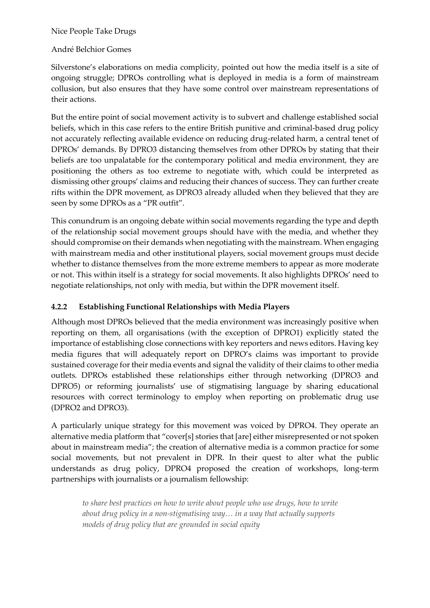#### André Belchior Gomes

Silverstone's elaborations on media complicity, pointed out how the media itself is a site of ongoing struggle; DPROs controlling what is deployed in media is a form of mainstream collusion, but also ensures that they have some control over mainstream representations of their actions.

But the entire point of social movement activity is to subvert and challenge established social beliefs, which in this case refers to the entire British punitive and criminal-based drug policy not accurately reflecting available evidence on reducing drug-related harm, a central tenet of DPROs' demands. By DPRO3 distancing themselves from other DPROs by stating that their beliefs are too unpalatable for the contemporary political and media environment, they are positioning the others as too extreme to negotiate with, which could be interpreted as dismissing other groups' claims and reducing their chances of success. They can further create rifts within the DPR movement, as DPRO3 already alluded when they believed that they are seen by some DPROs as a "PR outfit".

This conundrum is an ongoing debate within social movements regarding the type and depth of the relationship social movement groups should have with the media, and whether they should compromise on their demands when negotiating with the mainstream. When engaging with mainstream media and other institutional players, social movement groups must decide whether to distance themselves from the more extreme members to appear as more moderate or not. This within itself is a strategy for social movements. It also highlights DPROs' need to negotiate relationships, not only with media, but within the DPR movement itself.

#### **4.2.2 Establishing Functional Relationships with Media Players**

Although most DPROs believed that the media environment was increasingly positive when reporting on them, all organisations (with the exception of DPRO1) explicitly stated the importance of establishing close connections with key reporters and news editors. Having key media figures that will adequately report on DPRO's claims was important to provide sustained coverage for their media events and signal the validity of their claims to other media outlets. DPROs established these relationships either through networking (DPRO3 and DPRO5) or reforming journalists' use of stigmatising language by sharing educational resources with correct terminology to employ when reporting on problematic drug use (DPRO2 and DPRO3).

A particularly unique strategy for this movement was voiced by DPRO4. They operate an alternative media platform that "cover[s] stories that [are] either misrepresented or not spoken about in mainstream media"; the creation of alternative media is a common practice for some social movements, but not prevalent in DPR. In their quest to alter what the public understands as drug policy, DPRO4 proposed the creation of workshops, long-term partnerships with journalists or a journalism fellowship:

*to share best practices on how to write about people who use drugs, how to write about drug policy in a non-stigmatising way… in a way that actually supports models of drug policy that are grounded in social equity*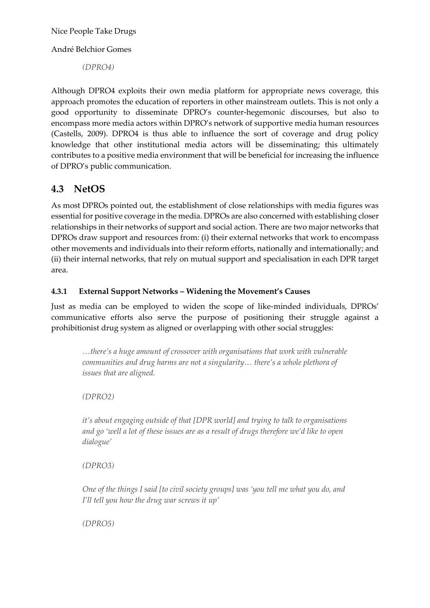André Belchior Gomes

*(DPRO4)*

Although DPRO4 exploits their own media platform for appropriate news coverage, this approach promotes the education of reporters in other mainstream outlets. This is not only a good opportunity to disseminate DPRO's counter-hegemonic discourses, but also to encompass more media actors within DPRO's network of supportive media human resources (Castells, 2009). DPRO4 is thus able to influence the sort of coverage and drug policy knowledge that other institutional media actors will be disseminating; this ultimately contributes to a positive media environment that will be beneficial for increasing the influence of DPRO's public communication.

# **4.3 NetOS**

As most DPROs pointed out, the establishment of close relationships with media figures was essential for positive coverage in the media. DPROs are also concerned with establishing closer relationships in their networks of support and social action. There are two major networks that DPROs draw support and resources from: (i) their external networks that work to encompass other movements and individuals into their reform efforts, nationally and internationally; and (ii) their internal networks, that rely on mutual support and specialisation in each DPR target area.

#### **4.3.1 External Support Networks – Widening the Movement's Causes**

Just as media can be employed to widen the scope of like-minded individuals, DPROs' communicative efforts also serve the purpose of positioning their struggle against a prohibitionist drug system as aligned or overlapping with other social struggles:

*…there's a huge amount of crossover with organisations that work with vulnerable communities and drug harms are not a singularity… there's a whole plethora of issues that are aligned.* 

*(DPRO2)*

*it's about engaging outside of that [DPR world] and trying to talk to organisations and go 'well a lot of these issues are as a result of drugs therefore we'd like to open dialogue'* 

*(DPRO3)*

*One of the things I said [to civil society groups] was 'you tell me what you do, and I'll tell you how the drug war screws it up'* 

*(DPRO5)*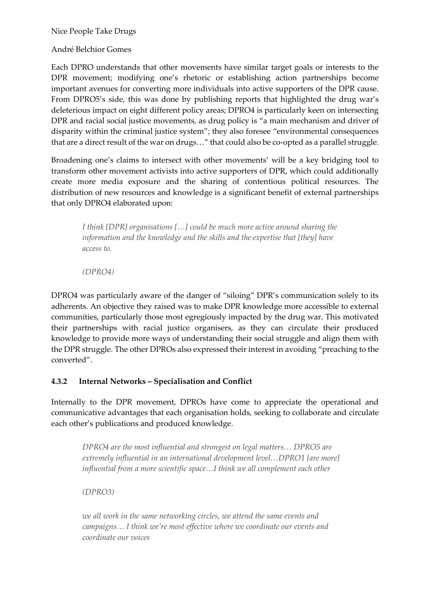André Belchior Gomes

Each DPRO understands that other movements have similar target goals or interests to the DPR movement; modifying one's rhetoric or establishing action partnerships become important avenues for converting more individuals into active supporters of the DPR cause. From DPRO5's side, this was done by publishing reports that highlighted the drug war's deleterious impact on eight different policy areas; DPRO4 is particularly keen on intersecting DPR and racial social justice movements, as drug policy is "a main mechanism and driver of disparity within the criminal justice system"; they also foresee "environmental consequences that are a direct result of the war on drugs…" that could also be co-opted as a parallel struggle.

Broadening one's claims to intersect with other movements' will be a key bridging tool to transform other movement activists into active supporters of DPR, which could additionally create more media exposure and the sharing of contentious political resources. The distribution of new resources and knowledge is a significant benefit of external partnerships that only DPRO4 elaborated upon:

*I think [DPR] organisations […] could be much more active around sharing the information and the knowledge and the skills and the expertise that [they] have access to.* 

*(DPRO4)*

DPRO4 was particularly aware of the danger of "siloing" DPR's communication solely to its adherents. An objective they raised was to make DPR knowledge more accessible to external communities, particularly those most egregiously impacted by the drug war. This motivated their partnerships with racial justice organisers, as they can circulate their produced knowledge to provide more ways of understanding their social struggle and align them with the DPR struggle. The other DPROs also expressed their interest in avoiding "preaching to the converted".

#### **4.3.2 Internal Networks – Specialisation and Conflict**

Internally to the DPR movement, DPROs have come to appreciate the operational and communicative advantages that each organisation holds, seeking to collaborate and circulate each other's publications and produced knowledge.

*DPRO4 are the most influential and strongest on legal matters… DPRO5 are extremely influential in an international development level…DPRO1 [are more] influential from a more scientific space…I think we all complement each other*

*(DPRO3)*

*we all work in the same networking circles, we attend the same events and campaigns… I think we're most effective where we coordinate our events and coordinate our voices*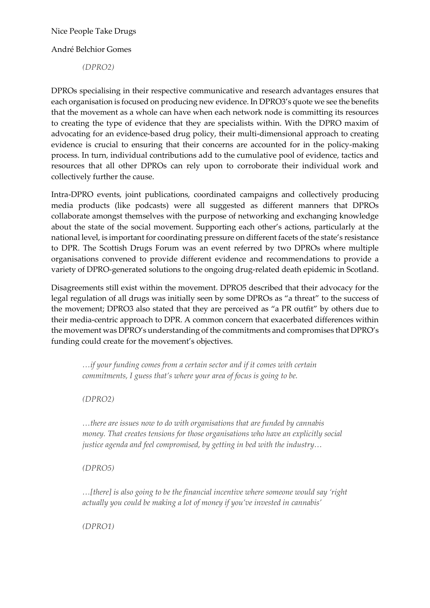André Belchior Gomes

*(DPRO2)*

DPROs specialising in their respective communicative and research advantages ensures that each organisation is focused on producing new evidence. In DPRO3's quote we see the benefits that the movement as a whole can have when each network node is committing its resources to creating the type of evidence that they are specialists within. With the DPRO maxim of advocating for an evidence-based drug policy, their multi-dimensional approach to creating evidence is crucial to ensuring that their concerns are accounted for in the policy-making process. In turn, individual contributions add to the cumulative pool of evidence, tactics and resources that all other DPROs can rely upon to corroborate their individual work and collectively further the cause.

Intra-DPRO events, joint publications, coordinated campaigns and collectively producing media products (like podcasts) were all suggested as different manners that DPROs collaborate amongst themselves with the purpose of networking and exchanging knowledge about the state of the social movement. Supporting each other's actions, particularly at the national level, is important for coordinating pressure on different facets of the state's resistance to DPR. The Scottish Drugs Forum was an event referred by two DPROs where multiple organisations convened to provide different evidence and recommendations to provide a variety of DPRO-generated solutions to the ongoing drug-related death epidemic in Scotland.

Disagreements still exist within the movement. DPRO5 described that their advocacy for the legal regulation of all drugs was initially seen by some DPROs as "a threat" to the success of the movement; DPRO3 also stated that they are perceived as "a PR outfit" by others due to their media-centric approach to DPR. A common concern that exacerbated differences within the movement was DPRO's understanding of the commitments and compromises that DPRO's funding could create for the movement's objectives.

*…if your funding comes from a certain sector and if it comes with certain commitments, I guess that's where your area of focus is going to be.* 

*(DPRO2)*

*…there are issues now to do with organisations that are funded by cannabis money. That creates tensions for those organisations who have an explicitly social justice agenda and feel compromised, by getting in bed with the industry…* 

*(DPRO5)*

*…[there] is also going to be the financial incentive where someone would say 'right actually you could be making a lot of money if you've invested in cannabis'*

*(DPRO1)*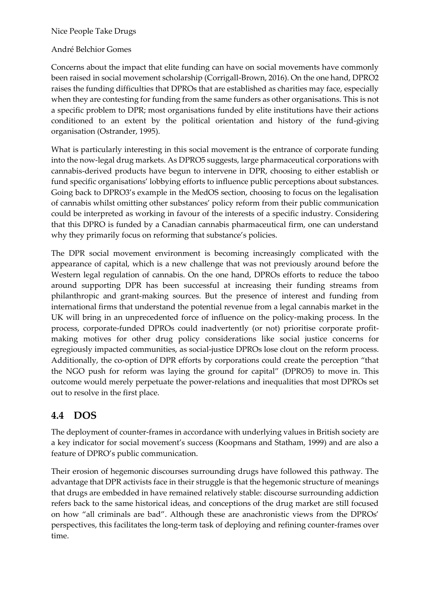#### André Belchior Gomes

Concerns about the impact that elite funding can have on social movements have commonly been raised in social movement scholarship (Corrigall-Brown, 2016). On the one hand, DPRO2 raises the funding difficulties that DPROs that are established as charities may face, especially when they are contesting for funding from the same funders as other organisations. This is not a specific problem to DPR; most organisations funded by elite institutions have their actions conditioned to an extent by the political orientation and history of the fund-giving organisation (Ostrander, 1995).

What is particularly interesting in this social movement is the entrance of corporate funding into the now-legal drug markets. As DPRO5 suggests, large pharmaceutical corporations with cannabis-derived products have begun to intervene in DPR, choosing to either establish or fund specific organisations' lobbying efforts to influence public perceptions about substances. Going back to DPRO3's example in the MedOS section, choosing to focus on the legalisation of cannabis whilst omitting other substances' policy reform from their public communication could be interpreted as working in favour of the interests of a specific industry. Considering that this DPRO is funded by a Canadian cannabis pharmaceutical firm, one can understand why they primarily focus on reforming that substance's policies.

The DPR social movement environment is becoming increasingly complicated with the appearance of capital, which is a new challenge that was not previously around before the Western legal regulation of cannabis. On the one hand, DPROs efforts to reduce the taboo around supporting DPR has been successful at increasing their funding streams from philanthropic and grant-making sources. But the presence of interest and funding from international firms that understand the potential revenue from a legal cannabis market in the UK will bring in an unprecedented force of influence on the policy-making process. In the process, corporate-funded DPROs could inadvertently (or not) prioritise corporate profitmaking motives for other drug policy considerations like social justice concerns for egregiously impacted communities, as social-justice DPROs lose clout on the reform process. Additionally, the co-option of DPR efforts by corporations could create the perception "that the NGO push for reform was laying the ground for capital" (DPRO5) to move in. This outcome would merely perpetuate the power-relations and inequalities that most DPROs set out to resolve in the first place.

# **4.4 DOS**

The deployment of counter-frames in accordance with underlying values in British society are a key indicator for social movement's success (Koopmans and Statham, 1999) and are also a feature of DPRO's public communication.

Their erosion of hegemonic discourses surrounding drugs have followed this pathway. The advantage that DPR activists face in their struggle is that the hegemonic structure of meanings that drugs are embedded in have remained relatively stable: discourse surrounding addiction refers back to the same historical ideas, and conceptions of the drug market are still focused on how "all criminals are bad". Although these are anachronistic views from the DPROs' perspectives, this facilitates the long-term task of deploying and refining counter-frames over time.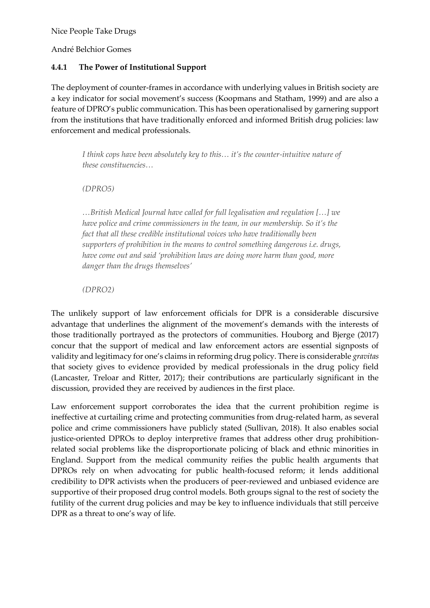André Belchior Gomes

#### **4.4.1 The Power of Institutional Support**

The deployment of counter-frames in accordance with underlying values in British society are a key indicator for social movement's success (Koopmans and Statham, 1999) and are also a feature of DPRO's public communication. This has been operationalised by garnering support from the institutions that have traditionally enforced and informed British drug policies: law enforcement and medical professionals.

*I think cops have been absolutely key to this… it's the counter-intuitive nature of these constituencies…* 

*(DPRO5)*

*…British Medical Journal have called for full legalisation and regulation […] we have police and crime commissioners in the team, in our membership. So it's the fact that all these credible institutional voices who have traditionally been supporters of prohibition in the means to control something dangerous i.e. drugs, have come out and said 'prohibition laws are doing more harm than good, more danger than the drugs themselves'* 

*(DPRO2)*

The unlikely support of law enforcement officials for DPR is a considerable discursive advantage that underlines the alignment of the movement's demands with the interests of those traditionally portrayed as the protectors of communities. Houborg and Bjerge (2017) concur that the support of medical and law enforcement actors are essential signposts of validity and legitimacy for one's claims in reforming drug policy. There is considerable *gravitas* that society gives to evidence provided by medical professionals in the drug policy field (Lancaster, Treloar and Ritter, 2017); their contributions are particularly significant in the discussion, provided they are received by audiences in the first place.

Law enforcement support corroborates the idea that the current prohibition regime is ineffective at curtailing crime and protecting communities from drug-related harm, as several police and crime commissioners have publicly stated (Sullivan, 2018). It also enables social justice-oriented DPROs to deploy interpretive frames that address other drug prohibitionrelated social problems like the disproportionate policing of black and ethnic minorities in England. Support from the medical community reifies the public health arguments that DPROs rely on when advocating for public health-focused reform; it lends additional credibility to DPR activists when the producers of peer-reviewed and unbiased evidence are supportive of their proposed drug control models. Both groups signal to the rest of society the futility of the current drug policies and may be key to influence individuals that still perceive DPR as a threat to one's way of life.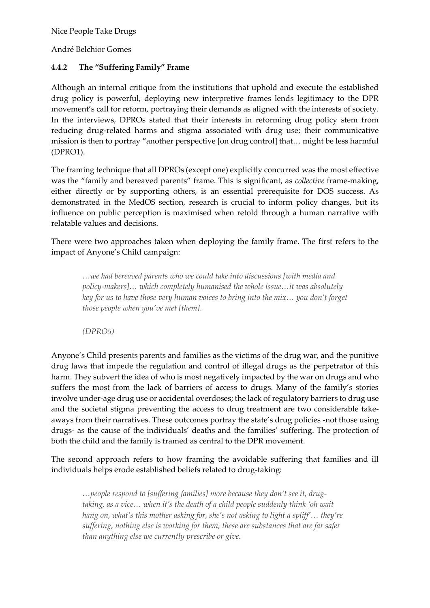André Belchior Gomes

#### **4.4.2 The "Suffering Family" Frame**

Although an internal critique from the institutions that uphold and execute the established drug policy is powerful, deploying new interpretive frames lends legitimacy to the DPR movement's call for reform, portraying their demands as aligned with the interests of society. In the interviews, DPROs stated that their interests in reforming drug policy stem from reducing drug-related harms and stigma associated with drug use; their communicative mission is then to portray "another perspective [on drug control] that… might be less harmful (DPRO1).

The framing technique that all DPROs (except one) explicitly concurred was the most effective was the "family and bereaved parents" frame. This is significant, as *collective* frame-making, either directly or by supporting others, is an essential prerequisite for DOS success. As demonstrated in the MedOS section, research is crucial to inform policy changes, but its influence on public perception is maximised when retold through a human narrative with relatable values and decisions.

There were two approaches taken when deploying the family frame. The first refers to the impact of Anyone's Child campaign:

*…we had bereaved parents who we could take into discussions [with media and policy-makers]… which completely humanised the whole issue…it was absolutely key for us to have those very human voices to bring into the mix… you don't forget those people when you've met [them].*

*(DPRO5)*

Anyone's Child presents parents and families as the victims of the drug war, and the punitive drug laws that impede the regulation and control of illegal drugs as the perpetrator of this harm. They subvert the idea of who is most negatively impacted by the war on drugs and who suffers the most from the lack of barriers of access to drugs. Many of the family's stories involve under-age drug use or accidental overdoses; the lack of regulatory barriers to drug use and the societal stigma preventing the access to drug treatment are two considerable takeaways from their narratives. These outcomes portray the state's drug policies -not those using drugs- as the cause of the individuals' deaths and the families' suffering. The protection of both the child and the family is framed as central to the DPR movement.

The second approach refers to how framing the avoidable suffering that families and ill individuals helps erode established beliefs related to drug-taking:

*…people respond to [suffering families] more because they don't see it, drugtaking, as a vice… when it's the death of a child people suddenly think 'oh wait hang on, what's this mother asking for, she's not asking to light a spliff'… they're suffering, nothing else is working for them, these are substances that are far safer than anything else we currently prescribe or give.*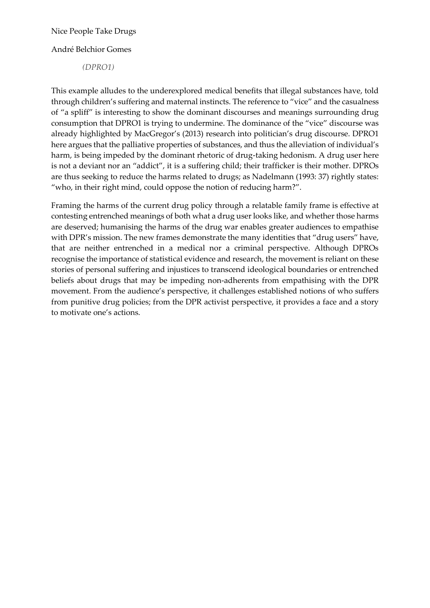André Belchior Gomes

*(DPRO1)*

This example alludes to the underexplored medical benefits that illegal substances have, told through children's suffering and maternal instincts. The reference to "vice" and the casualness of "a spliff" is interesting to show the dominant discourses and meanings surrounding drug consumption that DPRO1 is trying to undermine. The dominance of the "vice" discourse was already highlighted by MacGregor's (2013) research into politician's drug discourse. DPRO1 here argues that the palliative properties of substances, and thus the alleviation of individual's harm, is being impeded by the dominant rhetoric of drug-taking hedonism. A drug user here is not a deviant nor an "addict", it is a suffering child; their trafficker is their mother. DPROs are thus seeking to reduce the harms related to drugs; as Nadelmann (1993: 37) rightly states: "who, in their right mind, could oppose the notion of reducing harm?".

Framing the harms of the current drug policy through a relatable family frame is effective at contesting entrenched meanings of both what a drug user looks like, and whether those harms are deserved; humanising the harms of the drug war enables greater audiences to empathise with DPR's mission. The new frames demonstrate the many identities that "drug users" have, that are neither entrenched in a medical nor a criminal perspective. Although DPROs recognise the importance of statistical evidence and research, the movement is reliant on these stories of personal suffering and injustices to transcend ideological boundaries or entrenched beliefs about drugs that may be impeding non-adherents from empathising with the DPR movement. From the audience's perspective, it challenges established notions of who suffers from punitive drug policies; from the DPR activist perspective, it provides a face and a story to motivate one's actions.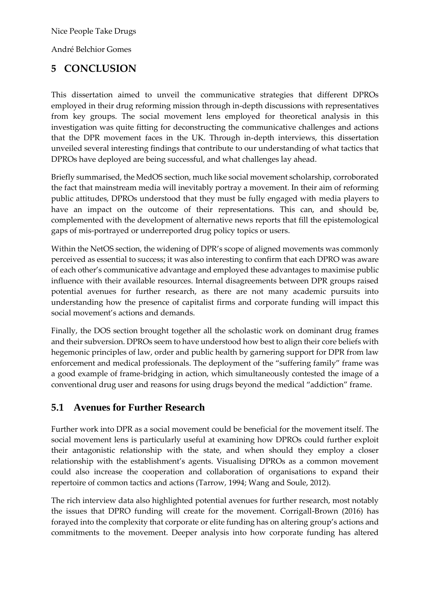André Belchior Gomes

## **5 CONCLUSION**

This dissertation aimed to unveil the communicative strategies that different DPROs employed in their drug reforming mission through in-depth discussions with representatives from key groups. The social movement lens employed for theoretical analysis in this investigation was quite fitting for deconstructing the communicative challenges and actions that the DPR movement faces in the UK. Through in-depth interviews, this dissertation unveiled several interesting findings that contribute to our understanding of what tactics that DPROs have deployed are being successful, and what challenges lay ahead.

Briefly summarised, the MedOS section, much like social movement scholarship, corroborated the fact that mainstream media will inevitably portray a movement. In their aim of reforming public attitudes, DPROs understood that they must be fully engaged with media players to have an impact on the outcome of their representations. This can, and should be, complemented with the development of alternative news reports that fill the epistemological gaps of mis-portrayed or underreported drug policy topics or users.

Within the NetOS section, the widening of DPR's scope of aligned movements was commonly perceived as essential to success; it was also interesting to confirm that each DPRO was aware of each other's communicative advantage and employed these advantages to maximise public influence with their available resources. Internal disagreements between DPR groups raised potential avenues for further research, as there are not many academic pursuits into understanding how the presence of capitalist firms and corporate funding will impact this social movement's actions and demands.

Finally, the DOS section brought together all the scholastic work on dominant drug frames and their subversion. DPROs seem to have understood how best to align their core beliefs with hegemonic principles of law, order and public health by garnering support for DPR from law enforcement and medical professionals. The deployment of the "suffering family" frame was a good example of frame-bridging in action, which simultaneously contested the image of a conventional drug user and reasons for using drugs beyond the medical "addiction" frame.

### **5.1 Avenues for Further Research**

Further work into DPR as a social movement could be beneficial for the movement itself. The social movement lens is particularly useful at examining how DPROs could further exploit their antagonistic relationship with the state, and when should they employ a closer relationship with the establishment's agents. Visualising DPROs as a common movement could also increase the cooperation and collaboration of organisations to expand their repertoire of common tactics and actions (Tarrow, 1994; Wang and Soule, 2012).

The rich interview data also highlighted potential avenues for further research, most notably the issues that DPRO funding will create for the movement. Corrigall-Brown (2016) has forayed into the complexity that corporate or elite funding has on altering group's actions and commitments to the movement. Deeper analysis into how corporate funding has altered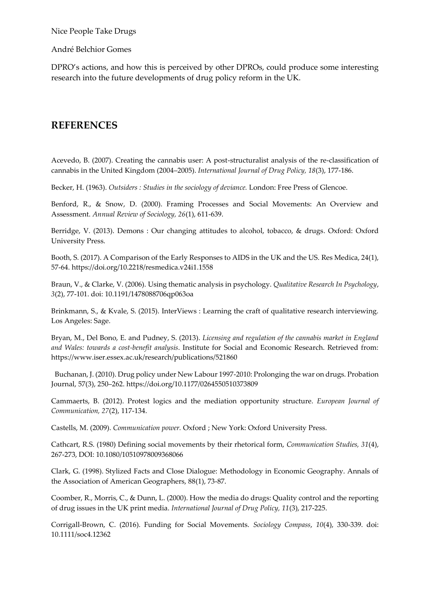André Belchior Gomes

DPRO's actions, and how this is perceived by other DPROs, could produce some interesting research into the future developments of drug policy reform in the UK.

### **REFERENCES**

Acevedo, B. (2007). Creating the cannabis user: A post-structuralist analysis of the re-classification of cannabis in the United Kingdom (2004–2005). *International Journal of Drug Policy, 18*(3), 177-186.

Becker, H. (1963). *Outsiders : Studies in the sociology of deviance.* London: Free Press of Glencoe.

Benford, R., & Snow, D. (2000). Framing Processes and Social Movements: An Overview and Assessment. *Annual Review of Sociology, 26*(1), 611-639.

Berridge, V. (2013). Demons : Our changing attitudes to alcohol, tobacco, & drugs. Oxford: Oxford University Press.

Booth, S. (2017). A Comparison of the Early Responses to AIDS in the UK and the US. Res Medica, 24(1), 57-64. https://doi.org/10.2218/resmedica.v24i1.1558

Braun, V., & Clarke, V. (2006). Using thematic analysis in psychology. *Qualitative Research In Psychology*, *3*(2), 77-101. doi: 10.1191/1478088706qp063oa

Brinkmann, S., & Kvale, S. (2015). InterViews : Learning the craft of qualitative research interviewing. Los Angeles: Sage.

Bryan, M., Del Bono, E. and Pudney, S. (2013). *Licensing and regulation of the cannabis market in England and Wales: towards a cost-benefit analysis*. Institute for Social and Economic Research. Retrieved from: https://www.iser.essex.ac.uk/research/publications/521860

 Buchanan, J. (2010). Drug policy under New Labour 1997-2010: Prolonging the war on drugs. Probation Journal, 57(3), 250–262. https://doi.org/10.1177/0264550510373809

Cammaerts, B. (2012). Protest logics and the mediation opportunity structure. *European Journal of Communication, 27*(2), 117-134.

Castells, M. (2009). *Communication power.* Oxford ; New York: Oxford University Press.

Cathcart, R.S. (1980) Defining social movements by their rhetorical form, *Communication Studies, 31*(4), 267-273, DOI: 10.1080/10510978009368066

Clark, G. (1998). Stylized Facts and Close Dialogue: Methodology in Economic Geography. Annals of the Association of American Geographers, 88(1), 73-87.

Coomber, R., Morris, C., & Dunn, L. (2000). How the media do drugs: Quality control and the reporting of drug issues in the UK print media. *International Journal of Drug Policy, 11*(3), 217-225.

Corrigall-Brown, C. (2016). Funding for Social Movements. *Sociology Compass*, *10*(4), 330-339. doi: 10.1111/soc4.12362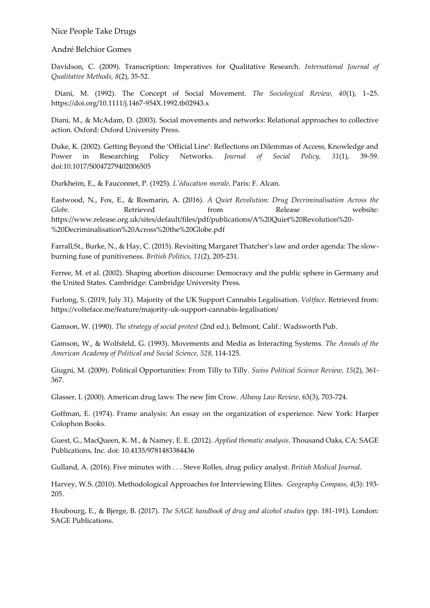#### André Belchior Gomes

Davidson, C. (2009). Transcription: Imperatives for Qualitative Research. *International Journal of Qualitative Methods, 8*(2), 35-52.

 Diani, M. (1992). The Concept of Social Movement. *The Sociological Review, 40*(1), 1–25. https://doi.org/10.1111/j.1467-954X.1992.tb02943.x

Diani, M., & McAdam, D. (2003). Social movements and networks: Relational approaches to collective action. Oxford: Oxford University Press.

Duke, K. (2002). Getting Beyond the 'Official Line': Reflections on Dilemmas of Access, Knowledge and Power in Researching Policy Networks. *Journal of Social Policy, 31*(1), 39-59. doi:10.1017/S0047279402006505

Durkheim, E., & Fauconnet, P. (1925). *L'éducation morale*. Paris: F. Alcan.

Eastwood, N., Fox, E., & Rosmarin, A. (2016). *A Quiet Revolution: Drug Decriminalisation Across the Globe.* Retrieved from Release website: https://www.release.org.uk/sites/default/files/pdf/publications/A%20Quiet%20Revolution%20- %20Decriminalisation%20Across%20the%20Globe.pdf

Farrall,St., Burke, N., & Hay, C. (2015). Revisiting Margaret Thatcher's law and order agenda: The slowburning fuse of punitiveness. *British Politics, 11*(2), 205-231.

Ferree, M. et al. (2002). Shaping abortion discourse: Democracy and the public sphere in Germany and the United States. Cambridge: Cambridge University Press.

Furlong, S. (2019, July 31). Majority of the UK Support Cannabis Legalisation. *Voltface*. Retrieved from: https://volteface.me/feature/majority-uk-support-cannabis-legalisation/

Gamson, W. (1990). *The strategy of social protest* (2nd ed.). Belmont, Calif.: Wadsworth Pub.

Gamson, W., & Wolfsfeld, G. (1993). Movements and Media as Interacting Systems. *The Annals of the American Academy of Political and Social Science, 528*, 114-125.

Giugni, M. (2009). Political Opportunities: From Tilly to Tilly. *Swiss Political Science Review, 15*(2), 361- 367.

Glasser, I. (2000). American drug laws: The new Jim Crow. *Albany Law Review*, 63(3), 703-724.

Goffman, E. (1974). Frame analysis: An essay on the organization of experience. New York: Harper Colophon Books.

Guest, G., MacQueen, K. M., & Namey, E. E. (2012). *Applied thematic analysis*. Thousand Oaks, CA: SAGE Publications, Inc. doi: 10.4135/9781483384436

Gulland, A. (2016). Five minutes with . . . Steve Rolles, drug policy analyst. *British Medical Journal*.

Harvey, W.S. (2010). Methodological Approaches for Interviewing Elites. *Geography Compass, 4*(3): 193- 205.

Houbourg, E., & Bjerge, B. (2017). *The SAGE handbook of drug and alcohol studies* (pp. 181-191). London: SAGE Publications.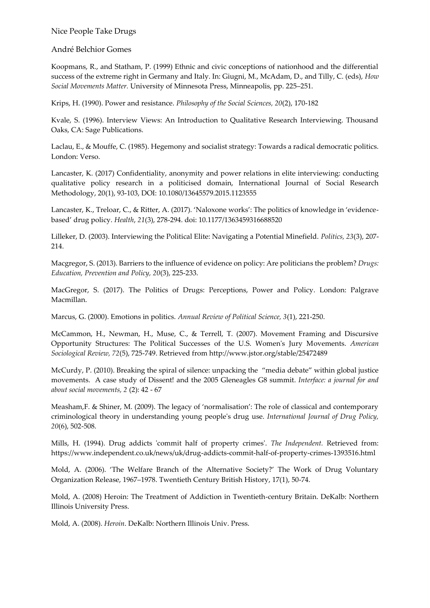André Belchior Gomes

Koopmans, R., and Statham, P. (1999) Ethnic and civic conceptions of nationhood and the differential success of the extreme right in Germany and Italy. In: Giugni, M., McAdam, D., and Tilly, C. (eds), *How Social Movements Matter.* University of Minnesota Press, Minneapolis, pp. 225–251.

Krips, H. (1990). Power and resistance. *Philosophy of the Social Sciences, 20*(2), 170-182

Kvale, S. (1996). Interview Views: An Introduction to Qualitative Research Interviewing. Thousand Oaks, CA: Sage Publications.

Laclau, E., & Mouffe, C. (1985). Hegemony and socialist strategy: Towards a radical democratic politics. London: Verso.

Lancaster, K. (2017) Confidentiality, anonymity and power relations in elite interviewing: conducting qualitative policy research in a politicised domain, International Journal of Social Research Methodology, 20(1), 93-103, DOI: 10.1080/13645579.2015.1123555

Lancaster, K., Treloar, C., & Ritter, A. (2017). 'Naloxone works': The politics of knowledge in 'evidencebased' drug policy. *Health*, *21*(3), 278-294. doi: 10.1177/1363459316688520

Lilleker, D. (2003). Interviewing the Political Elite: Navigating a Potential Minefield. *Politics, 23*(3), 207- 214.

Macgregor, S. (2013). Barriers to the influence of evidence on policy: Are politicians the problem? *Drugs: Education, Prevention and Policy, 20*(3), 225-233.

MacGregor, S. (2017). The Politics of Drugs: Perceptions, Power and Policy. London: Palgrave Macmillan.

Marcus, G. (2000). Emotions in politics. *Annual Review of Political Science, 3*(1), 221-250.

McCammon, H., Newman, H., Muse, C., & Terrell, T. (2007). Movement Framing and Discursive Opportunity Structures: The Political Successes of the U.S. Women's Jury Movements. *American Sociological Review, 72*(5), 725-749. Retrieved from http://www.jstor.org/stable/25472489

McCurdy, P. (2010). Breaking the spiral of silence: unpacking the "media debate" within global justice movements. A case study of Dissent! and the 2005 Gleneagles G8 summit. *Interface: a journal for and about social movements, 2* (2): 42 - 67

Measham,F. & Shiner, M. (2009). The legacy of 'normalisation': The role of classical and contemporary criminological theory in understanding young people's drug use. *International Journal of Drug Policy, 20*(6), 502-508.

Mills, H. (1994). Drug addicts 'commit half of property crimes'. *The Independent.* Retrieved from: https://www.independent.co.uk/news/uk/drug-addicts-commit-half-of-property-crimes-1393516.html

Mold, A. (2006). 'The Welfare Branch of the Alternative Society?' The Work of Drug Voluntary Organization Release, 1967–1978. Twentieth Century British History, 17(1), 50-74.

Mold, A. (2008) Heroin: The Treatment of Addiction in Twentieth-century Britain. DeKalb: Northern Illinois University Press.

Mold, A. (2008). *Heroin*. DeKalb: Northern Illinois Univ. Press.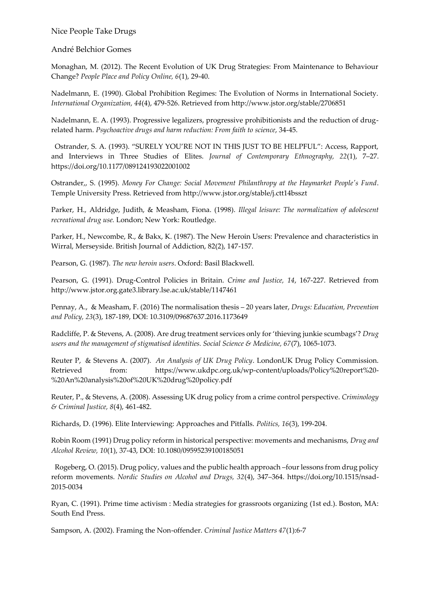#### André Belchior Gomes

Monaghan, M. (2012). The Recent Evolution of UK Drug Strategies: From Maintenance to Behaviour Change? *People Place and Policy Online, 6*(1), 29-40.

Nadelmann, E. (1990). Global Prohibition Regimes: The Evolution of Norms in International Society. *International Organization, 44*(4), 479-526. Retrieved from http://www.jstor.org/stable/2706851

Nadelmann, E. A. (1993). Progressive legalizers, progressive prohibitionists and the reduction of drugrelated harm. *Psychoactive drugs and harm reduction: From faith to science*, 34-45.

 Ostrander, S. A. (1993). "SURELY YOU'RE NOT IN THIS JUST TO BE HELPFUL": Access, Rapport, and Interviews in Three Studies of Elites. *Journal of Contemporary Ethnography, 22*(1), 7–27. https://doi.org/10.1177/089124193022001002

Ostrander,, S. (1995). *Money For Change: Social Movement Philanthropy at the Haymarket People's Fund*. Temple University Press. Retrieved from http://www.jstor.org/stable/j.ctt14bsszt

Parker, H., Aldridge, Judith, & Measham, Fiona. (1998). *Illegal leisure: The normalization of adolescent recreational drug use.* London; New York: Routledge.

Parker, H., Newcombe, R., & Bakx, K. (1987). The New Heroin Users: Prevalence and characteristics in Wirral, Merseyside. British Journal of Addiction, 82(2), 147-157.

Pearson, G. (1987). *The new heroin users*. Oxford: Basil Blackwell.

Pearson, G. (1991). Drug-Control Policies in Britain. *Crime and Justice, 14*, 167-227. Retrieved from http://www.jstor.org.gate3.library.lse.ac.uk/stable/1147461

Pennay, A., & Measham, F. (2016) The normalisation thesis – 20 years later, *Drugs: Education, Prevention and Policy, 23*(3), 187-189, DOI: 10.3109/09687637.2016.1173649

Radcliffe, P. & Stevens, A. (2008). Are drug treatment services only for 'thieving junkie scumbags'? *Drug users and the management of stigmatised identities. Social Science & Medicine, 67*(7), 1065-1073.

Reuter P, & Stevens A. (2007). *An Analysis of UK Drug Policy*. LondonUK Drug Policy Commission. Retrieved from: https://www.ukdpc.org.uk/wp-content/uploads/Policy%20report%20- %20An%20analysis%20of%20UK%20drug%20policy.pdf

Reuter, P., & Stevens, A. (2008). Assessing UK drug policy from a crime control perspective. *Criminology & Criminal Justice, 8*(4), 461-482.

Richards, D. (1996). Elite Interviewing: Approaches and Pitfalls. *Politics, 16*(3), 199-204.

Robin Room (1991) Drug policy reform in historical perspective: movements and mechanisms, *Drug and Alcohol Review, 10*(1), 37-43, DOI: 10.1080/09595239100185051

 Rogeberg, O. (2015). Drug policy, values and the public health approach –four lessons from drug policy reform movements. *Nordic Studies on Alcohol and Drugs, 32*(4), 347–364. https://doi.org/10.1515/nsad-2015-0034

Ryan, C. (1991). Prime time activism : Media strategies for grassroots organizing (1st ed.). Boston, MA: South End Press.

Sampson, A. (2002). Framing the Non-offender. *Criminal Justice Matters 47*(1):6-7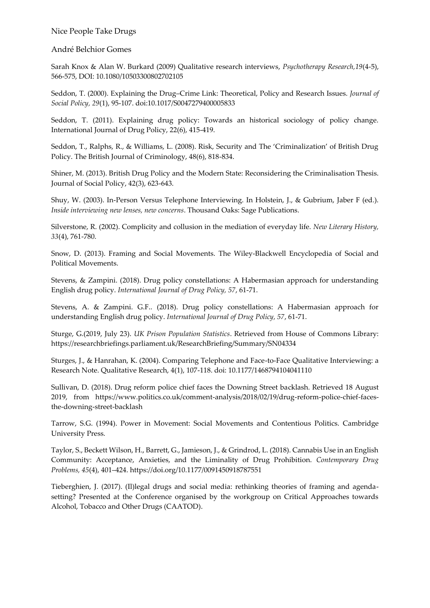#### André Belchior Gomes

Sarah Knox & Alan W. Burkard (2009) Qualitative research interviews, *Psychotherapy Research,19*(4-5), 566-575, DOI: 10.1080/10503300802702105

Seddon, T. (2000). Explaining the Drug–Crime Link: Theoretical, Policy and Research Issues. *Journal of Social Policy, 29*(1), 95-107. doi:10.1017/S0047279400005833

Seddon, T. (2011). Explaining drug policy: Towards an historical sociology of policy change. International Journal of Drug Policy, 22(6), 415-419.

Seddon, T., Ralphs, R., & Williams, L. (2008). Risk, Security and The 'Criminalization' of British Drug Policy. The British Journal of Criminology, 48(6), 818-834.

Shiner, M. (2013). British Drug Policy and the Modern State: Reconsidering the Criminalisation Thesis. Journal of Social Policy, 42(3), 623-643.

Shuy, W. (2003). In-Person Versus Telephone Interviewing. In Holstein, J., & Gubrium, Jaber F (ed.). *Inside interviewing new lenses, new concerns*. Thousand Oaks: Sage Publications.

Silverstone, R. (2002). Complicity and collusion in the mediation of everyday life. *New Literary History, 33*(4), 761-780.

Snow, D. (2013). Framing and Social Movements. The Wiley-Blackwell Encyclopedia of Social and Political Movements.

Stevens, & Zampini. (2018). Drug policy constellations: A Habermasian approach for understanding English drug policy. *International Journal of Drug Policy, 57*, 61-71.

Stevens, A. & Zampini. G.F.. (2018). Drug policy constellations: A Habermasian approach for understanding English drug policy. *International Journal of Drug Policy, 57*, 61-71.

Sturge, G.(2019, July 23). *UK Prison Population Statistics*. Retrieved from House of Commons Library: https://researchbriefings.parliament.uk/ResearchBriefing/Summary/SN04334

Sturges, J., & Hanrahan, K. (2004). Comparing Telephone and Face-to-Face Qualitative Interviewing: a Research Note. Qualitative Research, 4(1), 107-118. doi: 10.1177/1468794104041110

Sullivan, D. (2018). Drug reform police chief faces the Downing Street backlash. Retrieved 18 August 2019, from https://www.politics.co.uk/comment-analysis/2018/02/19/drug-reform-police-chief-facesthe-downing-street-backlash

Tarrow, S.G. (1994). Power in Movement: Social Movements and Contentious Politics. Cambridge University Press.

Taylor, S., Beckett Wilson, H., Barrett, G., Jamieson, J., & Grindrod, L. (2018). Cannabis Use in an English Community: Acceptance, Anxieties, and the Liminality of Drug Prohibition. *Contemporary Drug Problems, 45*(4), 401–424. https://doi.org/10.1177/0091450918787551

Tieberghien, J. (2017). (Il)legal drugs and social media: rethinking theories of framing and agendasetting? Presented at the Conference organised by the workgroup on Critical Approaches towards Alcohol, Tobacco and Other Drugs (CAATOD).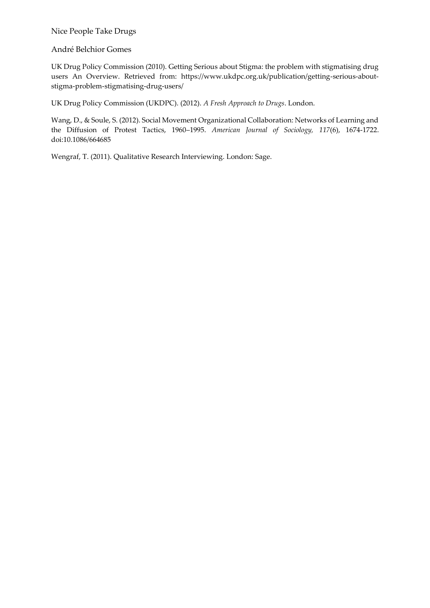André Belchior Gomes

UK Drug Policy Commission (2010). Getting Serious about Stigma: the problem with stigmatising drug users An Overview. Retrieved from: https://www.ukdpc.org.uk/publication/getting-serious-aboutstigma-problem-stigmatising-drug-users/

UK Drug Policy Commission (UKDPC). (2012). *A Fresh Approach to Drugs*. London.

Wang, D., & Soule, S. (2012). Social Movement Organizational Collaboration: Networks of Learning and the Diffusion of Protest Tactics, 1960–1995. *American Journal of Sociology, 117*(6), 1674-1722. doi:10.1086/664685

Wengraf, T. (2011). Qualitative Research Interviewing. London: Sage.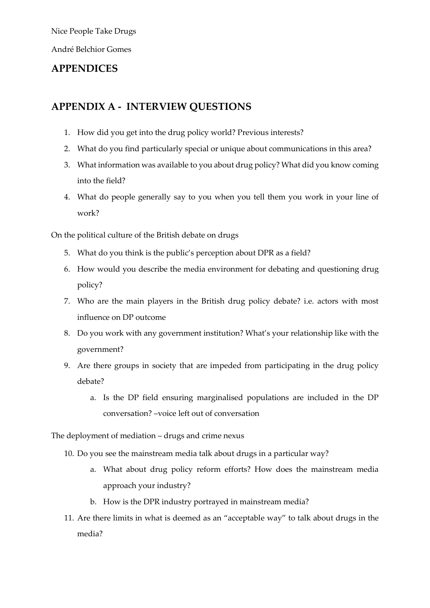André Belchior Gomes

### **APPENDICES**

### **APPENDIX A - INTERVIEW QUESTIONS**

- 1. How did you get into the drug policy world? Previous interests?
- 2. What do you find particularly special or unique about communications in this area?
- 3. What information was available to you about drug policy? What did you know coming into the field?
- 4. What do people generally say to you when you tell them you work in your line of work?

On the political culture of the British debate on drugs

- 5. What do you think is the public's perception about DPR as a field?
- 6. How would you describe the media environment for debating and questioning drug policy?
- 7. Who are the main players in the British drug policy debate? i.e. actors with most influence on DP outcome
- 8. Do you work with any government institution? What's your relationship like with the government?
- 9. Are there groups in society that are impeded from participating in the drug policy debate?
	- a. Is the DP field ensuring marginalised populations are included in the DP conversation? –voice left out of conversation

The deployment of mediation – drugs and crime nexus

- 10. Do you see the mainstream media talk about drugs in a particular way?
	- a. What about drug policy reform efforts? How does the mainstream media approach your industry?
	- b. How is the DPR industry portrayed in mainstream media?
- 11. Are there limits in what is deemed as an "acceptable way" to talk about drugs in the media?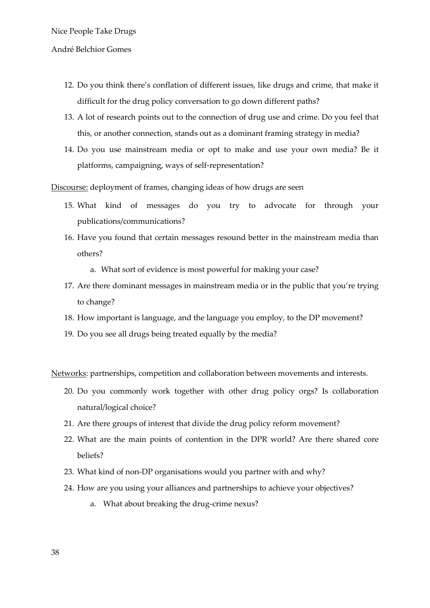#### André Belchior Gomes

- 12. Do you think there's conflation of different issues, like drugs and crime, that make it difficult for the drug policy conversation to go down different paths?
- 13. A lot of research points out to the connection of drug use and crime. Do you feel that this, or another connection, stands out as a dominant framing strategy in media?
- 14. Do you use mainstream media or opt to make and use your own media? Be it platforms, campaigning, ways of self-representation?

Discourse: deployment of frames, changing ideas of how drugs are seen

- 15. What kind of messages do you try to advocate for through your publications/communications?
- 16. Have you found that certain messages resound better in the mainstream media than others?
	- a. What sort of evidence is most powerful for making your case?
- 17. Are there dominant messages in mainstream media or in the public that you're trying to change?
- 18. How important is language, and the language you employ, to the DP movement?
- 19. Do you see all drugs being treated equally by the media?

Networks: partnerships, competition and collaboration between movements and interests.

- 20. Do you commonly work together with other drug policy orgs? Is collaboration natural/logical choice?
- 21. Are there groups of interest that divide the drug policy reform movement?
- 22. What are the main points of contention in the DPR world? Are there shared core beliefs?
- 23. What kind of non-DP organisations would you partner with and why?
- 24. How are you using your alliances and partnerships to achieve your objectives?
	- a. What about breaking the drug-crime nexus?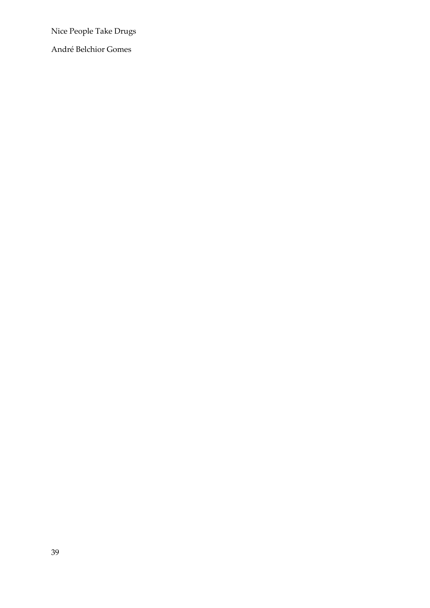André Belchior Gomes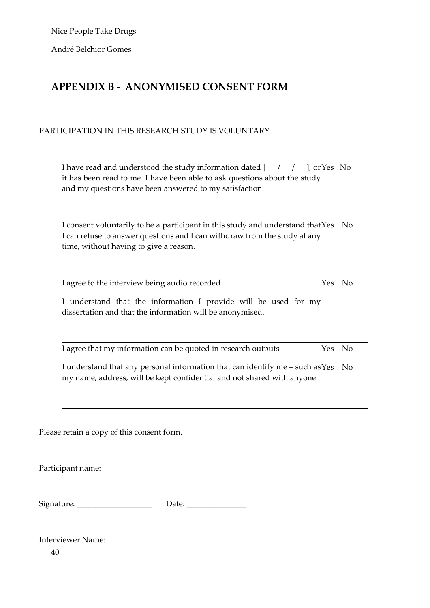André Belchior Gomes

# **APPENDIX B - ANONYMISED CONSENT FORM**

#### PARTICIPATION IN THIS RESEARCH STUDY IS VOLUNTARY

| If have read and understood the study information dated $[\underline{\hspace{1cm}}]$ $[\underline{\hspace{1cm}}]$ , or $\gamma$ es No |     |                |  |  |  |
|---------------------------------------------------------------------------------------------------------------------------------------|-----|----------------|--|--|--|
| it has been read to me. I have been able to ask questions about the study                                                             |     |                |  |  |  |
| and my questions have been answered to my satisfaction.                                                                               |     |                |  |  |  |
|                                                                                                                                       |     |                |  |  |  |
|                                                                                                                                       |     |                |  |  |  |
| I consent voluntarily to be a participant in this study and understand that $Yes$                                                     |     | No             |  |  |  |
| $\,\llbracket$ can refuse to answer questions and I can withdraw from the study at any                                                |     |                |  |  |  |
| time, without having to give a reason.                                                                                                |     |                |  |  |  |
|                                                                                                                                       |     |                |  |  |  |
|                                                                                                                                       |     |                |  |  |  |
| I agree to the interview being audio recorded                                                                                         | Yes | N <sub>0</sub> |  |  |  |
|                                                                                                                                       |     |                |  |  |  |
| I understand that the information I provide will be used for my                                                                       |     |                |  |  |  |
| dissertation and that the information will be anonymised.                                                                             |     |                |  |  |  |
|                                                                                                                                       |     |                |  |  |  |
|                                                                                                                                       |     |                |  |  |  |
| I agree that my information can be quoted in research outputs                                                                         | Yes | No             |  |  |  |
|                                                                                                                                       |     |                |  |  |  |
| If understand that any personal information that can identify me – such as Yes                                                        |     | No             |  |  |  |
| my name, address, will be kept confidential and not shared with anyone                                                                |     |                |  |  |  |
|                                                                                                                                       |     |                |  |  |  |
|                                                                                                                                       |     |                |  |  |  |

Please retain a copy of this consent form.

Participant name:

Signature: \_\_\_\_\_\_\_\_\_\_\_\_\_\_\_\_\_\_\_ Date: \_\_\_\_\_\_\_\_\_\_\_\_\_\_\_

Interviewer Name:

40